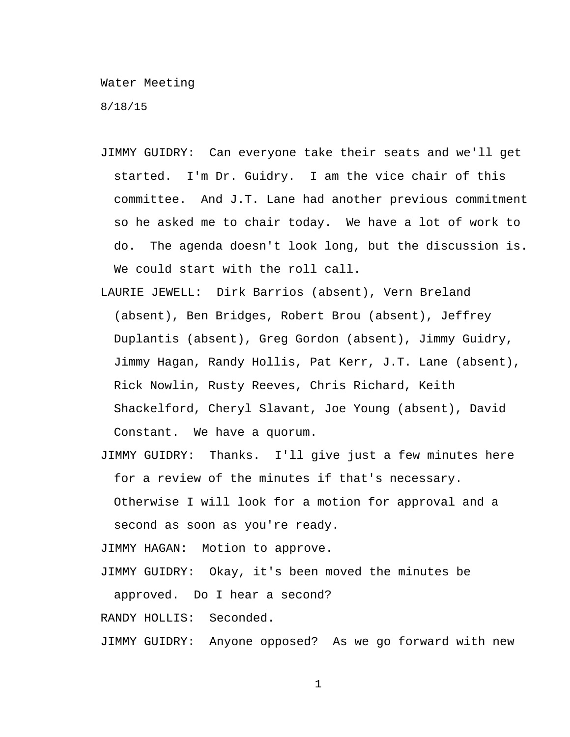Water Meeting

8/18/15

- JIMMY GUIDRY: Can everyone take their seats and we'll get started. I'm Dr. Guidry. I am the vice chair of this committee. And J.T. Lane had another previous commitment so he asked me to chair today. We have a lot of work to do. The agenda doesn't look long, but the discussion is. We could start with the roll call.
- LAURIE JEWELL: Dirk Barrios (absent), Vern Breland (absent), Ben Bridges, Robert Brou (absent), Jeffrey Duplantis (absent), Greg Gordon (absent), Jimmy Guidry, Jimmy Hagan, Randy Hollis, Pat Kerr, J.T. Lane (absent), Rick Nowlin, Rusty Reeves, Chris Richard, Keith Shackelford, Cheryl Slavant, Joe Young (absent), David Constant. We have a quorum.
- JIMMY GUIDRY: Thanks. I'll give just a few minutes here for a review of the minutes if that's necessary.
	- Otherwise I will look for a motion for approval and a second as soon as you're ready.
- JIMMY HAGAN: Motion to approve.
- JIMMY GUIDRY: Okay, it's been moved the minutes be approved. Do I hear a second?

RANDY HOLLIS: Seconded.

JIMMY GUIDRY: Anyone opposed? As we go forward with new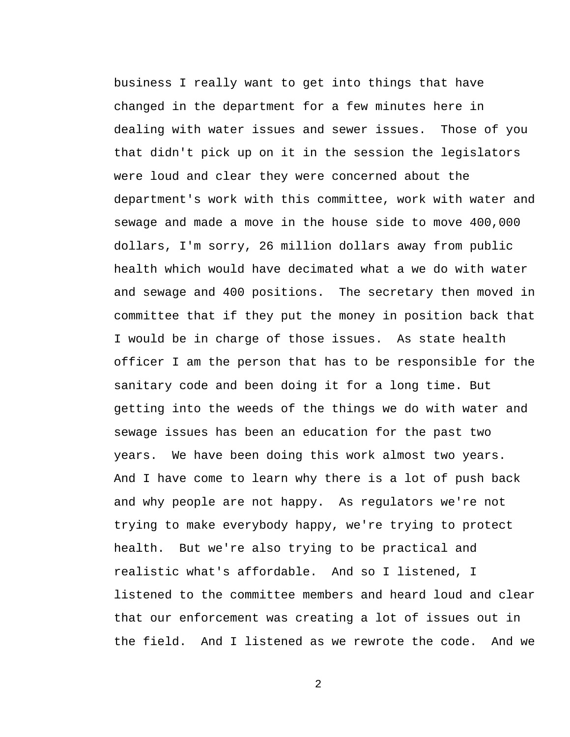business I really want to get into things that have changed in the department for a few minutes here in dealing with water issues and sewer issues. Those of you that didn't pick up on it in the session the legislators were loud and clear they were concerned about the department's work with this committee, work with water and sewage and made a move in the house side to move 400,000 dollars, I'm sorry, 26 million dollars away from public health which would have decimated what a we do with water and sewage and 400 positions. The secretary then moved in committee that if they put the money in position back that I would be in charge of those issues. As state health officer I am the person that has to be responsible for the sanitary code and been doing it for a long time. But getting into the weeds of the things we do with water and sewage issues has been an education for the past two years. We have been doing this work almost two years. And I have come to learn why there is a lot of push back and why people are not happy. As regulators we're not trying to make everybody happy, we're trying to protect health. But we're also trying to be practical and realistic what's affordable. And so I listened, I listened to the committee members and heard loud and clear that our enforcement was creating a lot of issues out in the field. And I listened as we rewrote the code. And we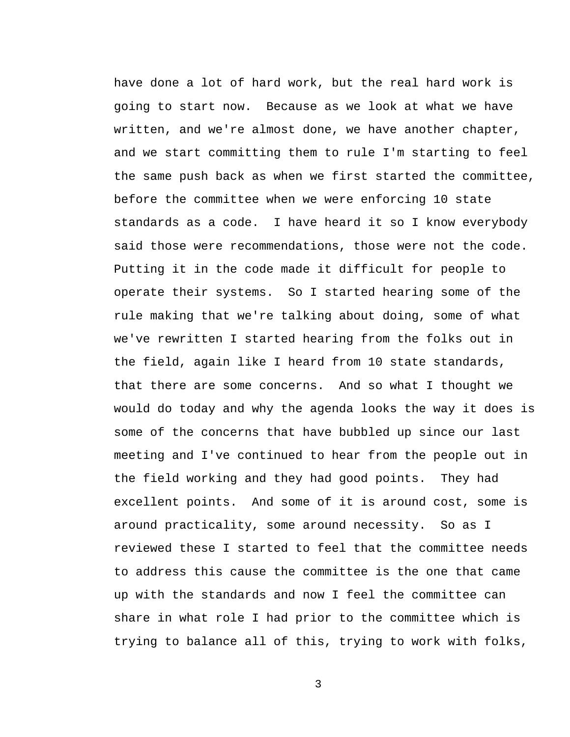have done a lot of hard work, but the real hard work is going to start now. Because as we look at what we have written, and we're almost done, we have another chapter, and we start committing them to rule I'm starting to feel the same push back as when we first started the committee, before the committee when we were enforcing 10 state standards as a code. I have heard it so I know everybody said those were recommendations, those were not the code. Putting it in the code made it difficult for people to operate their systems. So I started hearing some of the rule making that we're talking about doing, some of what we've rewritten I started hearing from the folks out in the field, again like I heard from 10 state standards, that there are some concerns. And so what I thought we would do today and why the agenda looks the way it does is some of the concerns that have bubbled up since our last meeting and I've continued to hear from the people out in the field working and they had good points. They had excellent points. And some of it is around cost, some is around practicality, some around necessity. So as I reviewed these I started to feel that the committee needs to address this cause the committee is the one that came up with the standards and now I feel the committee can share in what role I had prior to the committee which is trying to balance all of this, trying to work with folks,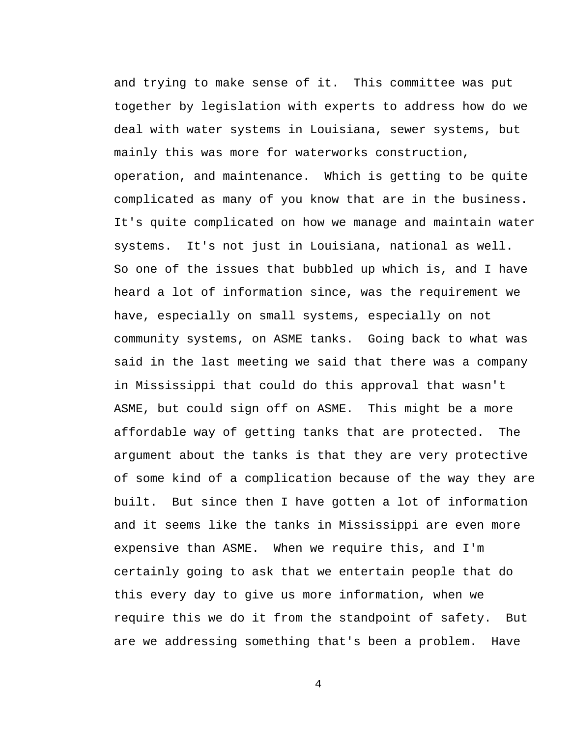and trying to make sense of it. This committee was put together by legislation with experts to address how do we deal with water systems in Louisiana, sewer systems, but mainly this was more for waterworks construction, operation, and maintenance. Which is getting to be quite complicated as many of you know that are in the business. It's quite complicated on how we manage and maintain water systems. It's not just in Louisiana, national as well. So one of the issues that bubbled up which is, and I have heard a lot of information since, was the requirement we have, especially on small systems, especially on not community systems, on ASME tanks. Going back to what was said in the last meeting we said that there was a company in Mississippi that could do this approval that wasn't ASME, but could sign off on ASME. This might be a more affordable way of getting tanks that are protected. The argument about the tanks is that they are very protective of some kind of a complication because of the way they are built. But since then I have gotten a lot of information and it seems like the tanks in Mississippi are even more expensive than ASME. When we require this, and I'm certainly going to ask that we entertain people that do this every day to give us more information, when we require this we do it from the standpoint of safety. But are we addressing something that's been a problem. Have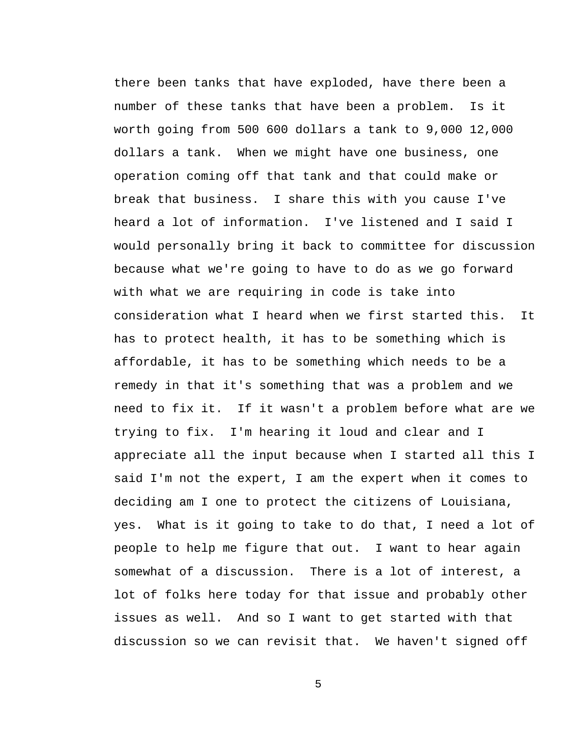there been tanks that have exploded, have there been a number of these tanks that have been a problem. Is it worth going from 500 600 dollars a tank to 9,000 12,000 dollars a tank. When we might have one business, one operation coming off that tank and that could make or break that business. I share this with you cause I've heard a lot of information. I've listened and I said I would personally bring it back to committee for discussion because what we're going to have to do as we go forward with what we are requiring in code is take into consideration what I heard when we first started this. It has to protect health, it has to be something which is affordable, it has to be something which needs to be a remedy in that it's something that was a problem and we need to fix it. If it wasn't a problem before what are we trying to fix. I'm hearing it loud and clear and I appreciate all the input because when I started all this I said I'm not the expert, I am the expert when it comes to deciding am I one to protect the citizens of Louisiana, yes. What is it going to take to do that, I need a lot of people to help me figure that out. I want to hear again somewhat of a discussion. There is a lot of interest, a lot of folks here today for that issue and probably other issues as well. And so I want to get started with that discussion so we can revisit that. We haven't signed off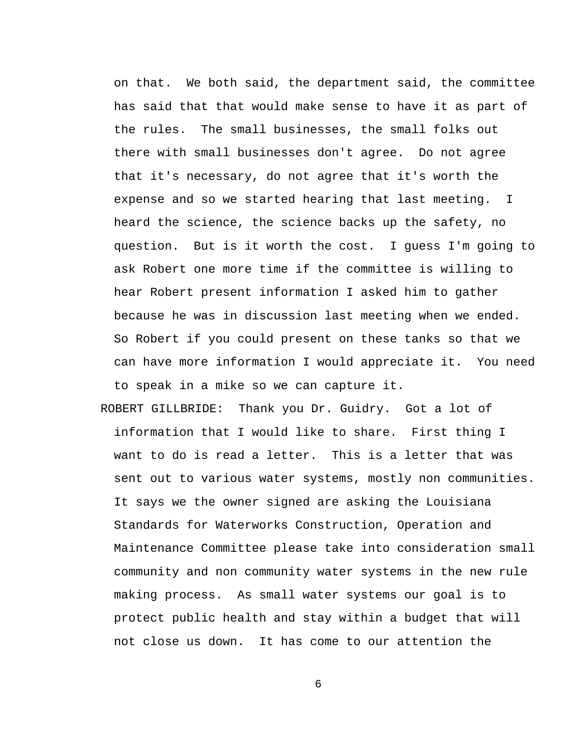on that. We both said, the department said, the committee has said that that would make sense to have it as part of the rules. The small businesses, the small folks out there with small businesses don't agree. Do not agree that it's necessary, do not agree that it's worth the expense and so we started hearing that last meeting. I heard the science, the science backs up the safety, no question. But is it worth the cost. I guess I'm going to ask Robert one more time if the committee is willing to hear Robert present information I asked him to gather because he was in discussion last meeting when we ended. So Robert if you could present on these tanks so that we can have more information I would appreciate it. You need to speak in a mike so we can capture it.

ROBERT GILLBRIDE: Thank you Dr. Guidry. Got a lot of information that I would like to share. First thing I want to do is read a letter. This is a letter that was sent out to various water systems, mostly non communities. It says we the owner signed are asking the Louisiana Standards for Waterworks Construction, Operation and Maintenance Committee please take into consideration small community and non community water systems in the new rule making process. As small water systems our goal is to protect public health and stay within a budget that will not close us down. It has come to our attention the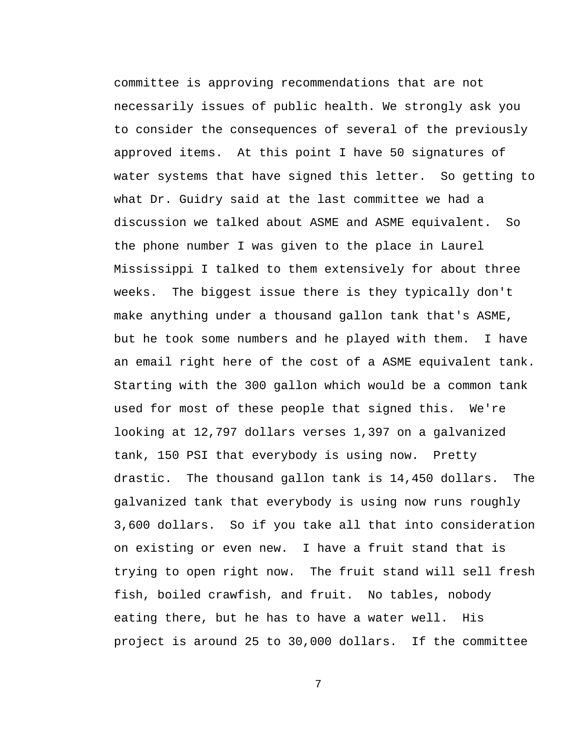committee is approving recommendations that are not necessarily issues of public health. We strongly ask you to consider the consequences of several of the previously approved items. At this point I have 50 signatures of water systems that have signed this letter. So getting to what Dr. Guidry said at the last committee we had a discussion we talked about ASME and ASME equivalent. So the phone number I was given to the place in Laurel Mississippi I talked to them extensively for about three weeks. The biggest issue there is they typically don't make anything under a thousand gallon tank that's ASME, but he took some numbers and he played with them. I have an email right here of the cost of a ASME equivalent tank. Starting with the 300 gallon which would be a common tank used for most of these people that signed this. We're looking at 12,797 dollars verses 1,397 on a galvanized tank, 150 PSI that everybody is using now. Pretty drastic. The thousand gallon tank is 14,450 dollars. The galvanized tank that everybody is using now runs roughly 3,600 dollars. So if you take all that into consideration on existing or even new. I have a fruit stand that is trying to open right now. The fruit stand will sell fresh fish, boiled crawfish, and fruit. No tables, nobody eating there, but he has to have a water well. His project is around 25 to 30,000 dollars. If the committee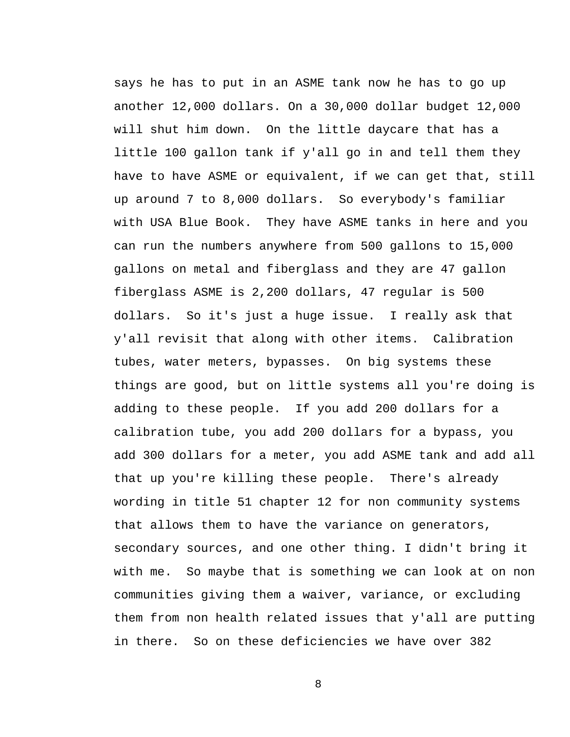says he has to put in an ASME tank now he has to go up another 12,000 dollars. On a 30,000 dollar budget 12,000 will shut him down. On the little daycare that has a little 100 gallon tank if y'all go in and tell them they have to have ASME or equivalent, if we can get that, still up around 7 to 8,000 dollars. So everybody's familiar with USA Blue Book. They have ASME tanks in here and you can run the numbers anywhere from 500 gallons to 15,000 gallons on metal and fiberglass and they are 47 gallon fiberglass ASME is 2,200 dollars, 47 regular is 500 dollars. So it's just a huge issue. I really ask that y'all revisit that along with other items. Calibration tubes, water meters, bypasses. On big systems these things are good, but on little systems all you're doing is adding to these people. If you add 200 dollars for a calibration tube, you add 200 dollars for a bypass, you add 300 dollars for a meter, you add ASME tank and add all that up you're killing these people. There's already wording in title 51 chapter 12 for non community systems that allows them to have the variance on generators, secondary sources, and one other thing. I didn't bring it with me. So maybe that is something we can look at on non communities giving them a waiver, variance, or excluding them from non health related issues that y'all are putting in there. So on these deficiencies we have over 382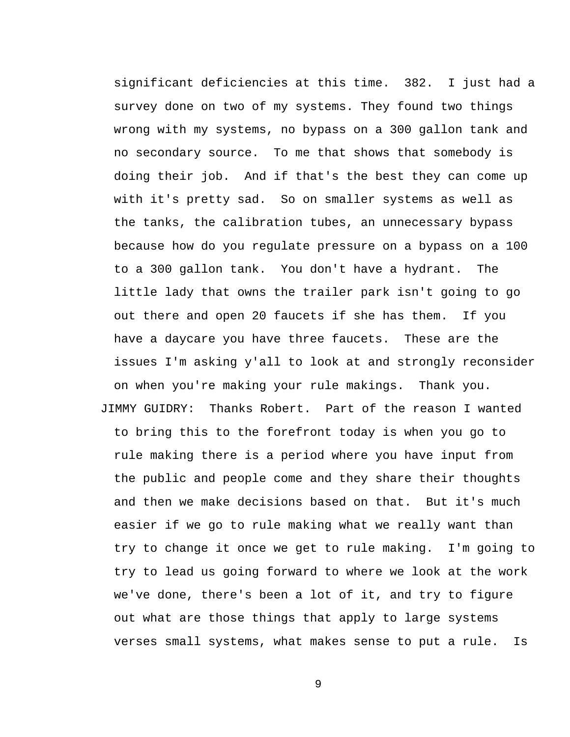significant deficiencies at this time. 382. I just had a survey done on two of my systems. They found two things wrong with my systems, no bypass on a 300 gallon tank and no secondary source. To me that shows that somebody is doing their job. And if that's the best they can come up with it's pretty sad. So on smaller systems as well as the tanks, the calibration tubes, an unnecessary bypass because how do you regulate pressure on a bypass on a 100 to a 300 gallon tank. You don't have a hydrant. The little lady that owns the trailer park isn't going to go out there and open 20 faucets if she has them. If you have a daycare you have three faucets. These are the issues I'm asking y'all to look at and strongly reconsider on when you're making your rule makings. Thank you. JIMMY GUIDRY: Thanks Robert. Part of the reason I wanted to bring this to the forefront today is when you go to rule making there is a period where you have input from the public and people come and they share their thoughts and then we make decisions based on that. But it's much easier if we go to rule making what we really want than try to change it once we get to rule making. I'm going to try to lead us going forward to where we look at the work we've done, there's been a lot of it, and try to figure out what are those things that apply to large systems verses small systems, what makes sense to put a rule. Is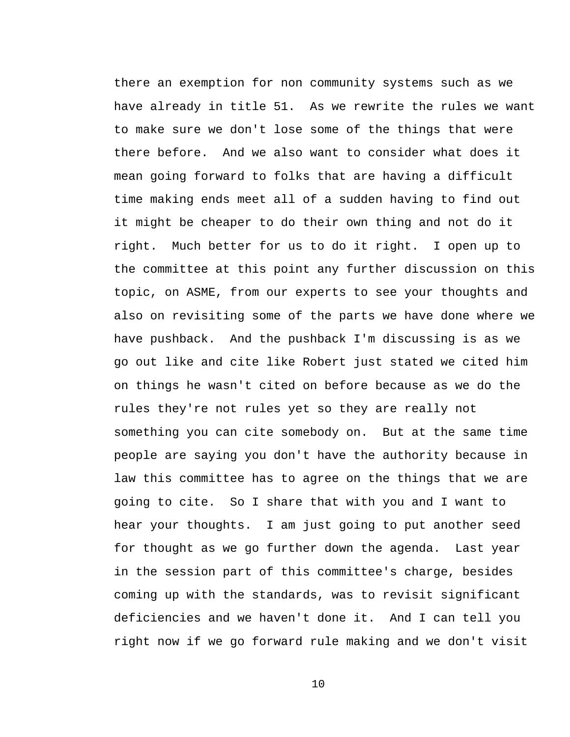there an exemption for non community systems such as we have already in title 51. As we rewrite the rules we want to make sure we don't lose some of the things that were there before. And we also want to consider what does it mean going forward to folks that are having a difficult time making ends meet all of a sudden having to find out it might be cheaper to do their own thing and not do it right. Much better for us to do it right. I open up to the committee at this point any further discussion on this topic, on ASME, from our experts to see your thoughts and also on revisiting some of the parts we have done where we have pushback. And the pushback I'm discussing is as we go out like and cite like Robert just stated we cited him on things he wasn't cited on before because as we do the rules they're not rules yet so they are really not something you can cite somebody on. But at the same time people are saying you don't have the authority because in law this committee has to agree on the things that we are going to cite. So I share that with you and I want to hear your thoughts. I am just going to put another seed for thought as we go further down the agenda. Last year in the session part of this committee's charge, besides coming up with the standards, was to revisit significant deficiencies and we haven't done it. And I can tell you right now if we go forward rule making and we don't visit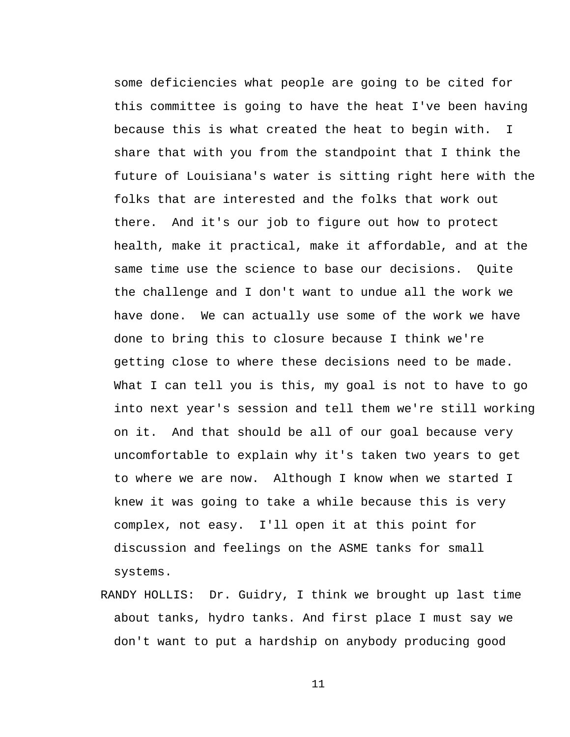some deficiencies what people are going to be cited for this committee is going to have the heat I've been having because this is what created the heat to begin with. I share that with you from the standpoint that I think the future of Louisiana's water is sitting right here with the folks that are interested and the folks that work out there. And it's our job to figure out how to protect health, make it practical, make it affordable, and at the same time use the science to base our decisions. Quite the challenge and I don't want to undue all the work we have done. We can actually use some of the work we have done to bring this to closure because I think we're getting close to where these decisions need to be made. What I can tell you is this, my goal is not to have to go into next year's session and tell them we're still working on it. And that should be all of our goal because very uncomfortable to explain why it's taken two years to get to where we are now. Although I know when we started I knew it was going to take a while because this is very complex, not easy. I'll open it at this point for discussion and feelings on the ASME tanks for small systems.

RANDY HOLLIS: Dr. Guidry, I think we brought up last time about tanks, hydro tanks. And first place I must say we don't want to put a hardship on anybody producing good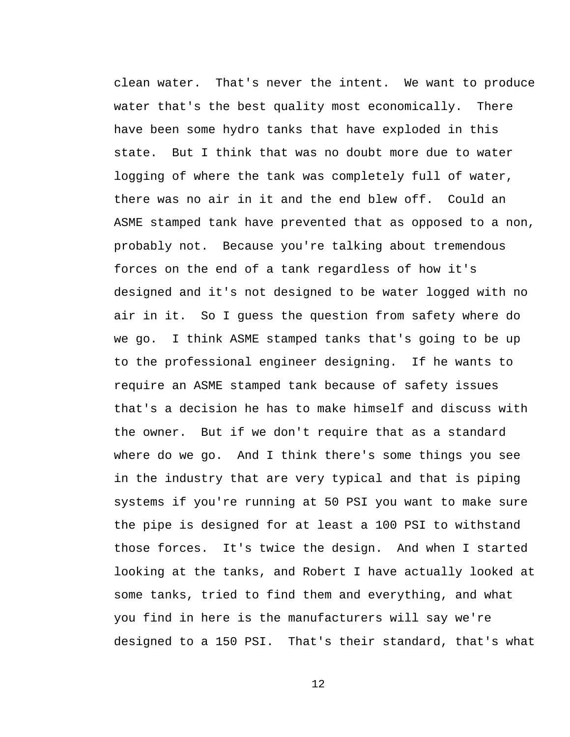clean water. That's never the intent. We want to produce water that's the best quality most economically. There have been some hydro tanks that have exploded in this state. But I think that was no doubt more due to water logging of where the tank was completely full of water, there was no air in it and the end blew off. Could an ASME stamped tank have prevented that as opposed to a non, probably not. Because you're talking about tremendous forces on the end of a tank regardless of how it's designed and it's not designed to be water logged with no air in it. So I guess the question from safety where do we go. I think ASME stamped tanks that's going to be up to the professional engineer designing. If he wants to require an ASME stamped tank because of safety issues that's a decision he has to make himself and discuss with the owner. But if we don't require that as a standard where do we go. And I think there's some things you see in the industry that are very typical and that is piping systems if you're running at 50 PSI you want to make sure the pipe is designed for at least a 100 PSI to withstand those forces. It's twice the design. And when I started looking at the tanks, and Robert I have actually looked at some tanks, tried to find them and everything, and what you find in here is the manufacturers will say we're designed to a 150 PSI. That's their standard, that's what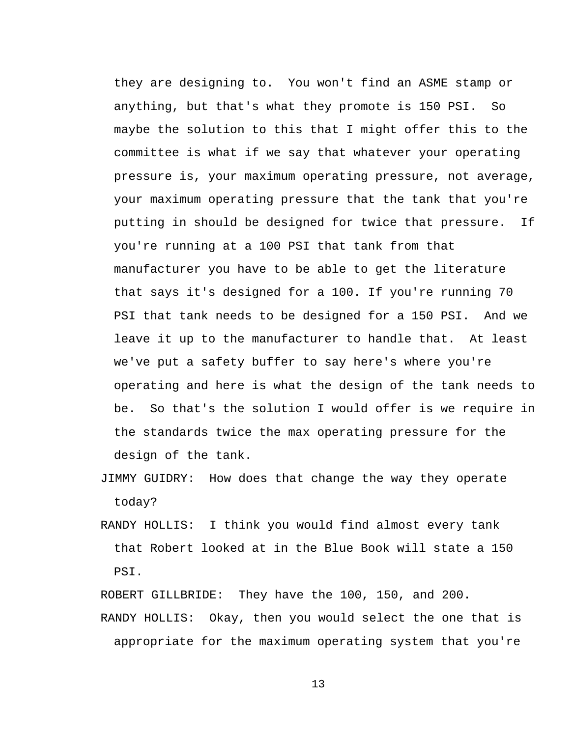they are designing to. You won't find an ASME stamp or anything, but that's what they promote is 150 PSI. So maybe the solution to this that I might offer this to the committee is what if we say that whatever your operating pressure is, your maximum operating pressure, not average, your maximum operating pressure that the tank that you're putting in should be designed for twice that pressure. If you're running at a 100 PSI that tank from that manufacturer you have to be able to get the literature that says it's designed for a 100. If you're running 70 PSI that tank needs to be designed for a 150 PSI. And we leave it up to the manufacturer to handle that. At least we've put a safety buffer to say here's where you're operating and here is what the design of the tank needs to be. So that's the solution I would offer is we require in the standards twice the max operating pressure for the design of the tank.

- JIMMY GUIDRY: How does that change the way they operate today?
- RANDY HOLLIS: I think you would find almost every tank that Robert looked at in the Blue Book will state a 150 PSI.

ROBERT GILLBRIDE: They have the 100, 150, and 200.

RANDY HOLLIS: Okay, then you would select the one that is appropriate for the maximum operating system that you're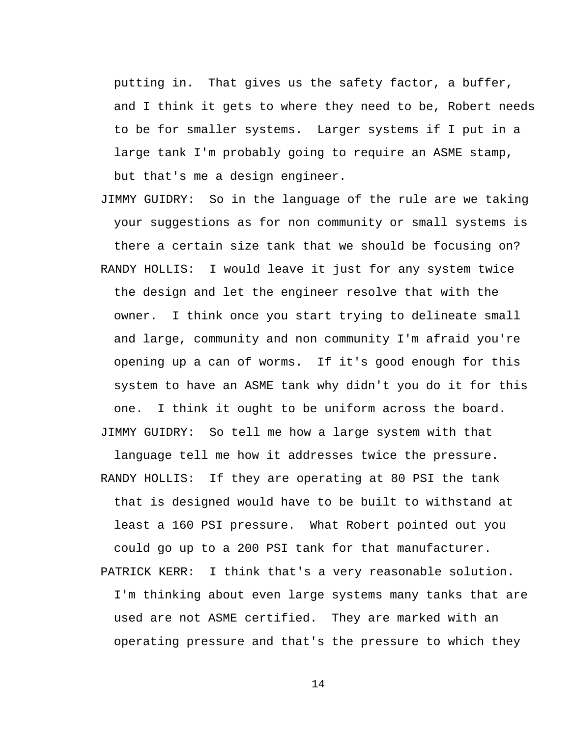putting in. That gives us the safety factor, a buffer, and I think it gets to where they need to be, Robert needs to be for smaller systems. Larger systems if I put in a large tank I'm probably going to require an ASME stamp, but that's me a design engineer.

JIMMY GUIDRY: So in the language of the rule are we taking your suggestions as for non community or small systems is there a certain size tank that we should be focusing on? RANDY HOLLIS: I would leave it just for any system twice the design and let the engineer resolve that with the owner. I think once you start trying to delineate small and large, community and non community I'm afraid you're opening up a can of worms. If it's good enough for this system to have an ASME tank why didn't you do it for this one. I think it ought to be uniform across the board. JIMMY GUIDRY: So tell me how a large system with that

language tell me how it addresses twice the pressure. RANDY HOLLIS: If they are operating at 80 PSI the tank that is designed would have to be built to withstand at least a 160 PSI pressure. What Robert pointed out you could go up to a 200 PSI tank for that manufacturer. PATRICK KERR: I think that's a very reasonable solution. I'm thinking about even large systems many tanks that are used are not ASME certified. They are marked with an operating pressure and that's the pressure to which they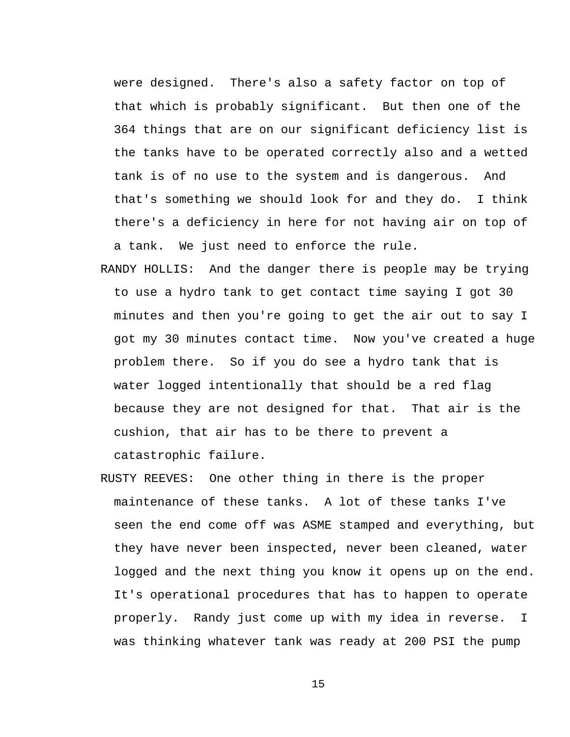were designed. There's also a safety factor on top of that which is probably significant. But then one of the 364 things that are on our significant deficiency list is the tanks have to be operated correctly also and a wetted tank is of no use to the system and is dangerous. And that's something we should look for and they do. I think there's a deficiency in here for not having air on top of a tank. We just need to enforce the rule.

- RANDY HOLLIS: And the danger there is people may be trying to use a hydro tank to get contact time saying I got 30 minutes and then you're going to get the air out to say I got my 30 minutes contact time. Now you've created a huge problem there. So if you do see a hydro tank that is water logged intentionally that should be a red flag because they are not designed for that. That air is the cushion, that air has to be there to prevent a catastrophic failure.
- RUSTY REEVES: One other thing in there is the proper maintenance of these tanks. A lot of these tanks I've seen the end come off was ASME stamped and everything, but they have never been inspected, never been cleaned, water logged and the next thing you know it opens up on the end. It's operational procedures that has to happen to operate properly. Randy just come up with my idea in reverse. I was thinking whatever tank was ready at 200 PSI the pump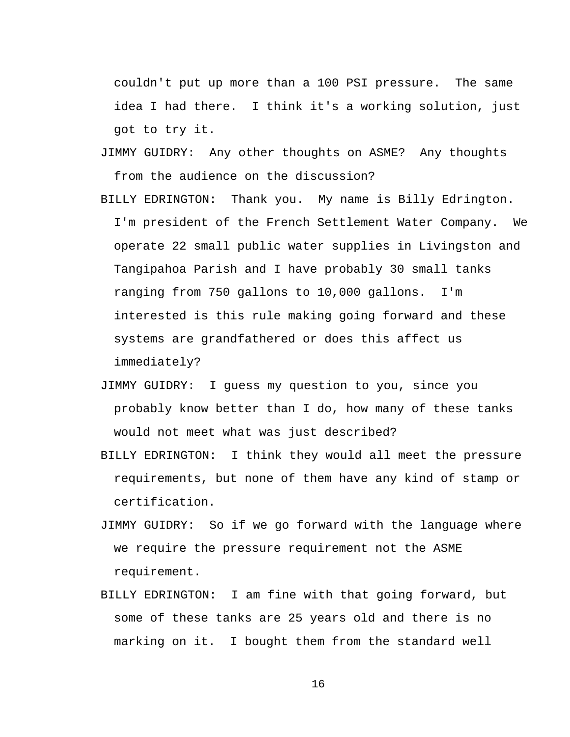couldn't put up more than a 100 PSI pressure. The same idea I had there. I think it's a working solution, just got to try it.

- JIMMY GUIDRY: Any other thoughts on ASME? Any thoughts from the audience on the discussion?
- BILLY EDRINGTON: Thank you. My name is Billy Edrington. I'm president of the French Settlement Water Company. We operate 22 small public water supplies in Livingston and Tangipahoa Parish and I have probably 30 small tanks ranging from 750 gallons to 10,000 gallons. I'm interested is this rule making going forward and these systems are grandfathered or does this affect us immediately?
- JIMMY GUIDRY: I guess my question to you, since you probably know better than I do, how many of these tanks would not meet what was just described?
- BILLY EDRINGTON: I think they would all meet the pressure requirements, but none of them have any kind of stamp or certification.
- JIMMY GUIDRY: So if we go forward with the language where we require the pressure requirement not the ASME requirement.
- BILLY EDRINGTON: I am fine with that going forward, but some of these tanks are 25 years old and there is no marking on it. I bought them from the standard well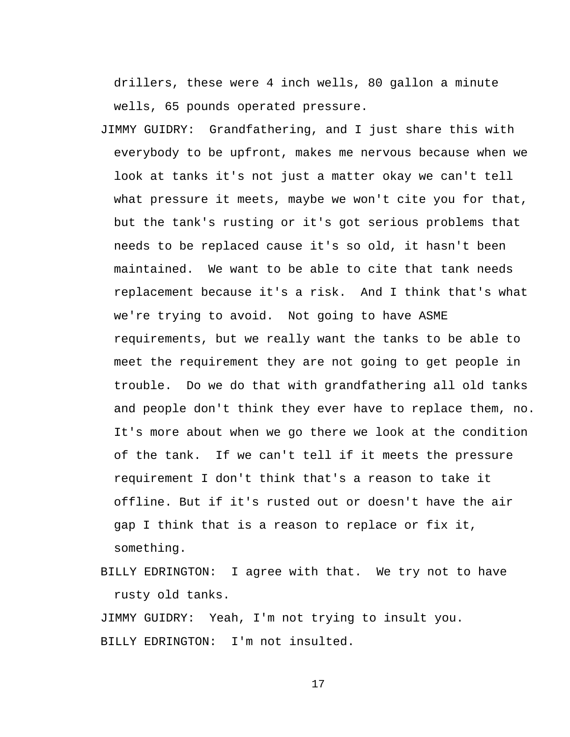drillers, these were 4 inch wells, 80 gallon a minute wells, 65 pounds operated pressure.

- JIMMY GUIDRY: Grandfathering, and I just share this with everybody to be upfront, makes me nervous because when we look at tanks it's not just a matter okay we can't tell what pressure it meets, maybe we won't cite you for that, but the tank's rusting or it's got serious problems that needs to be replaced cause it's so old, it hasn't been maintained. We want to be able to cite that tank needs replacement because it's a risk. And I think that's what we're trying to avoid. Not going to have ASME requirements, but we really want the tanks to be able to meet the requirement they are not going to get people in trouble. Do we do that with grandfathering all old tanks and people don't think they ever have to replace them, no. It's more about when we go there we look at the condition of the tank. If we can't tell if it meets the pressure requirement I don't think that's a reason to take it offline. But if it's rusted out or doesn't have the air gap I think that is a reason to replace or fix it, something.
- BILLY EDRINGTON: I agree with that. We try not to have rusty old tanks.

JIMMY GUIDRY: Yeah, I'm not trying to insult you. BILLY EDRINGTON: I'm not insulted.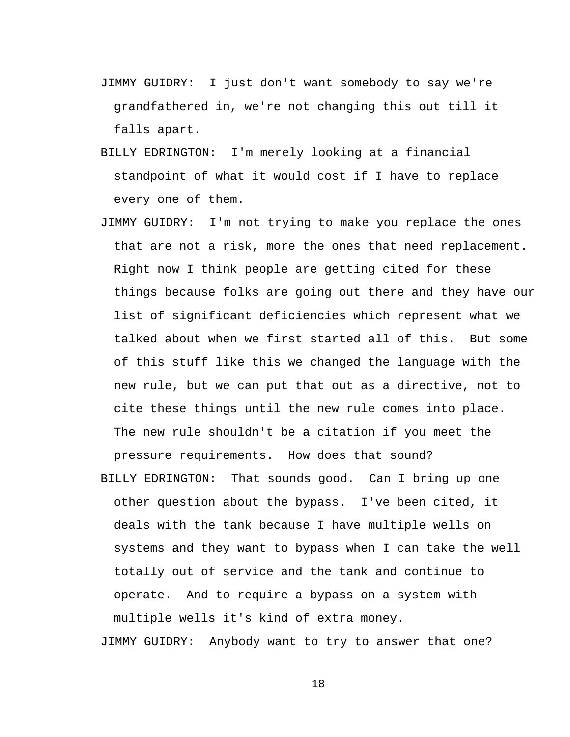- JIMMY GUIDRY: I just don't want somebody to say we're grandfathered in, we're not changing this out till it falls apart.
- BILLY EDRINGTON: I'm merely looking at a financial standpoint of what it would cost if I have to replace every one of them.
- JIMMY GUIDRY: I'm not trying to make you replace the ones that are not a risk, more the ones that need replacement. Right now I think people are getting cited for these things because folks are going out there and they have our list of significant deficiencies which represent what we talked about when we first started all of this. But some of this stuff like this we changed the language with the new rule, but we can put that out as a directive, not to cite these things until the new rule comes into place. The new rule shouldn't be a citation if you meet the pressure requirements. How does that sound?
- BILLY EDRINGTON: That sounds good. Can I bring up one other question about the bypass. I've been cited, it deals with the tank because I have multiple wells on systems and they want to bypass when I can take the well totally out of service and the tank and continue to operate. And to require a bypass on a system with multiple wells it's kind of extra money.

JIMMY GUIDRY: Anybody want to try to answer that one?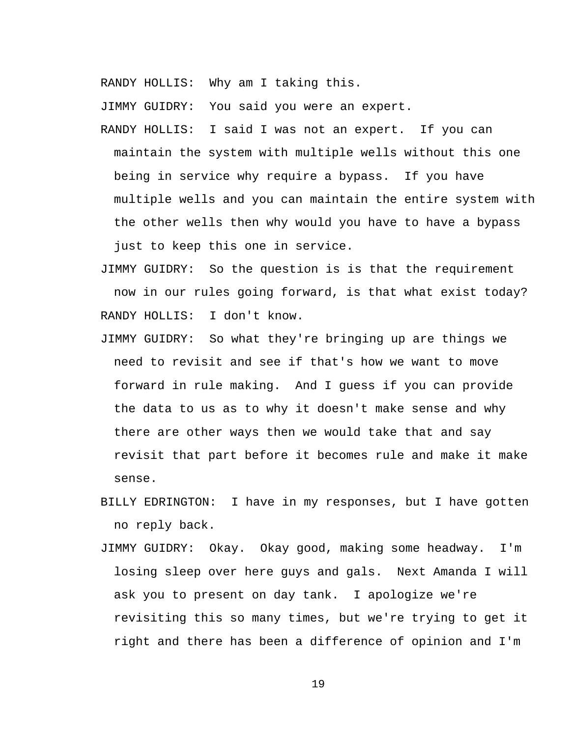RANDY HOLLIS: Why am I taking this.

JIMMY GUIDRY: You said you were an expert.

- RANDY HOLLIS: I said I was not an expert. If you can maintain the system with multiple wells without this one being in service why require a bypass. If you have multiple wells and you can maintain the entire system with the other wells then why would you have to have a bypass just to keep this one in service.
- JIMMY GUIDRY: So the question is is that the requirement now in our rules going forward, is that what exist today? RANDY HOLLIS: I don't know.
- JIMMY GUIDRY: So what they're bringing up are things we need to revisit and see if that's how we want to move forward in rule making. And I guess if you can provide the data to us as to why it doesn't make sense and why there are other ways then we would take that and say revisit that part before it becomes rule and make it make sense.
- BILLY EDRINGTON: I have in my responses, but I have gotten no reply back.
- JIMMY GUIDRY: Okay. Okay good, making some headway. I'm losing sleep over here guys and gals. Next Amanda I will ask you to present on day tank. I apologize we're revisiting this so many times, but we're trying to get it right and there has been a difference of opinion and I'm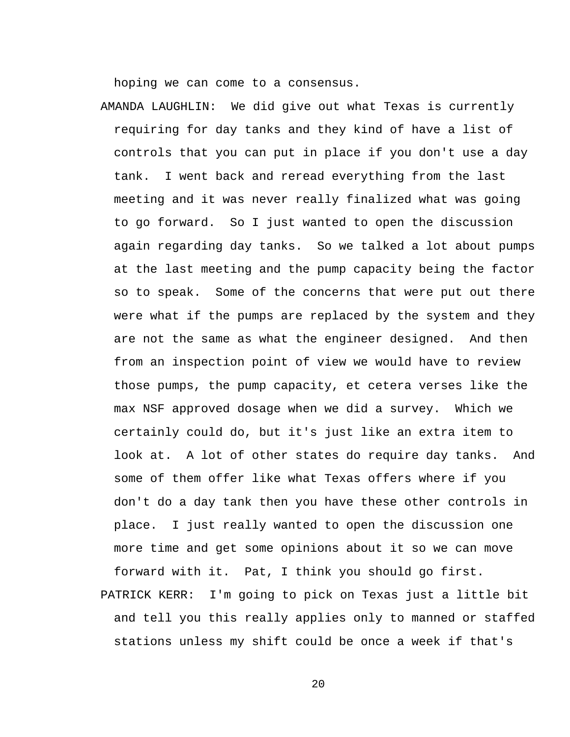hoping we can come to a consensus.

AMANDA LAUGHLIN: We did give out what Texas is currently requiring for day tanks and they kind of have a list of controls that you can put in place if you don't use a day tank. I went back and reread everything from the last meeting and it was never really finalized what was going to go forward. So I just wanted to open the discussion again regarding day tanks. So we talked a lot about pumps at the last meeting and the pump capacity being the factor so to speak. Some of the concerns that were put out there were what if the pumps are replaced by the system and they are not the same as what the engineer designed. And then from an inspection point of view we would have to review those pumps, the pump capacity, et cetera verses like the max NSF approved dosage when we did a survey. Which we certainly could do, but it's just like an extra item to look at. A lot of other states do require day tanks. And some of them offer like what Texas offers where if you don't do a day tank then you have these other controls in place. I just really wanted to open the discussion one more time and get some opinions about it so we can move forward with it. Pat, I think you should go first. PATRICK KERR: I'm going to pick on Texas just a little bit

and tell you this really applies only to manned or staffed stations unless my shift could be once a week if that's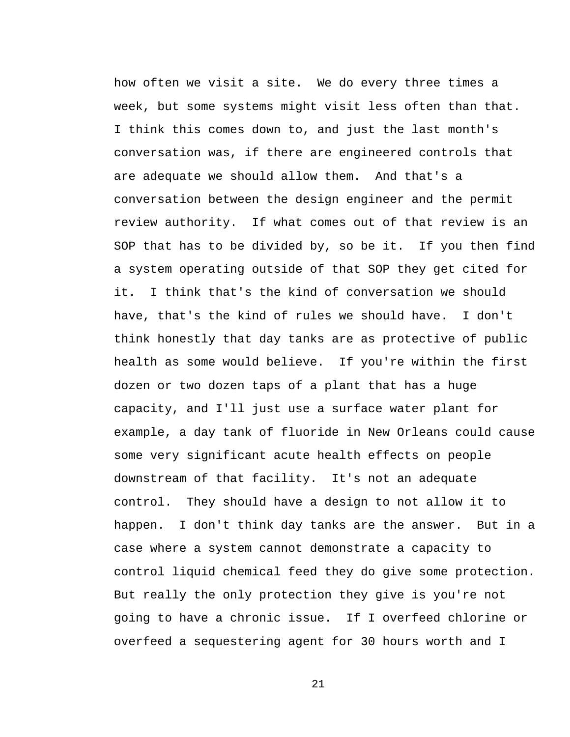how often we visit a site. We do every three times a week, but some systems might visit less often than that. I think this comes down to, and just the last month's conversation was, if there are engineered controls that are adequate we should allow them. And that's a conversation between the design engineer and the permit review authority. If what comes out of that review is an SOP that has to be divided by, so be it. If you then find a system operating outside of that SOP they get cited for it. I think that's the kind of conversation we should have, that's the kind of rules we should have. I don't think honestly that day tanks are as protective of public health as some would believe. If you're within the first dozen or two dozen taps of a plant that has a huge capacity, and I'll just use a surface water plant for example, a day tank of fluoride in New Orleans could cause some very significant acute health effects on people downstream of that facility. It's not an adequate control. They should have a design to not allow it to happen. I don't think day tanks are the answer. But in a case where a system cannot demonstrate a capacity to control liquid chemical feed they do give some protection. But really the only protection they give is you're not going to have a chronic issue. If I overfeed chlorine or overfeed a sequestering agent for 30 hours worth and I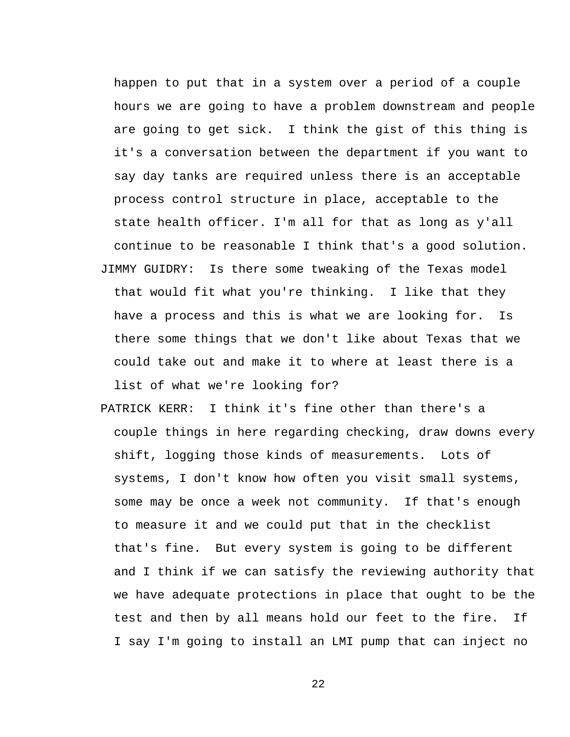happen to put that in a system over a period of a couple hours we are going to have a problem downstream and people are going to get sick. I think the gist of this thing is it's a conversation between the department if you want to say day tanks are required unless there is an acceptable process control structure in place, acceptable to the state health officer. I'm all for that as long as y'all continue to be reasonable I think that's a good solution. JIMMY GUIDRY: Is there some tweaking of the Texas model that would fit what you're thinking. I like that they have a process and this is what we are looking for. Is there some things that we don't like about Texas that we could take out and make it to where at least there is a list of what we're looking for?

PATRICK KERR: I think it's fine other than there's a couple things in here regarding checking, draw downs every shift, logging those kinds of measurements. Lots of systems, I don't know how often you visit small systems, some may be once a week not community. If that's enough to measure it and we could put that in the checklist that's fine. But every system is going to be different and I think if we can satisfy the reviewing authority that we have adequate protections in place that ought to be the test and then by all means hold our feet to the fire. If I say I'm going to install an LMI pump that can inject no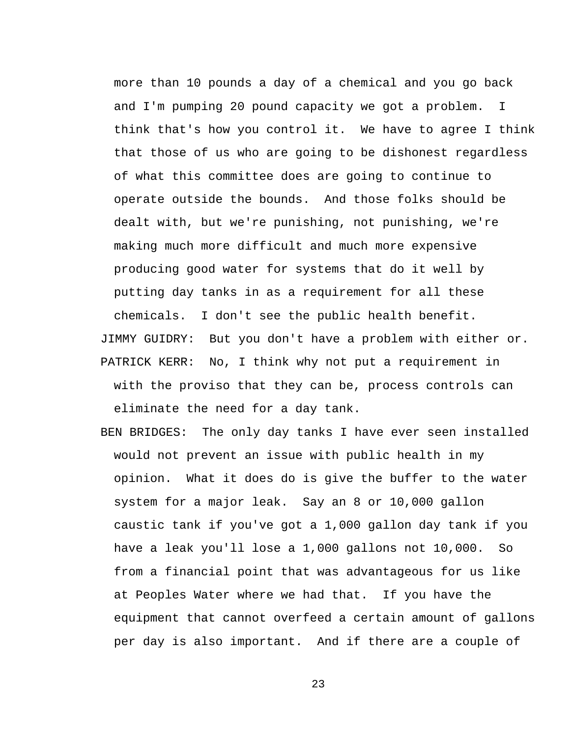more than 10 pounds a day of a chemical and you go back and I'm pumping 20 pound capacity we got a problem. I think that's how you control it. We have to agree I think that those of us who are going to be dishonest regardless of what this committee does are going to continue to operate outside the bounds. And those folks should be dealt with, but we're punishing, not punishing, we're making much more difficult and much more expensive producing good water for systems that do it well by putting day tanks in as a requirement for all these chemicals. I don't see the public health benefit.

JIMMY GUIDRY: But you don't have a problem with either or. PATRICK KERR: No, I think why not put a requirement in with the proviso that they can be, process controls can eliminate the need for a day tank.

BEN BRIDGES: The only day tanks I have ever seen installed would not prevent an issue with public health in my opinion. What it does do is give the buffer to the water system for a major leak. Say an 8 or 10,000 gallon caustic tank if you've got a 1,000 gallon day tank if you have a leak you'll lose a 1,000 gallons not 10,000. So from a financial point that was advantageous for us like at Peoples Water where we had that. If you have the equipment that cannot overfeed a certain amount of gallons per day is also important. And if there are a couple of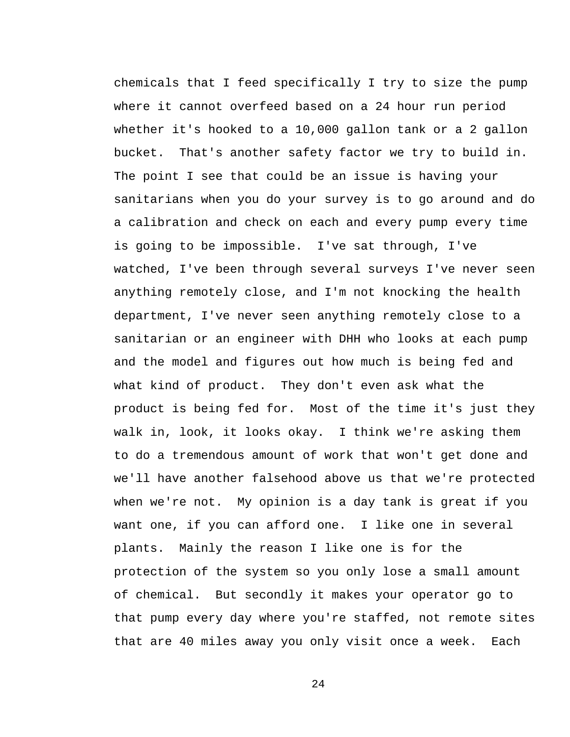chemicals that I feed specifically I try to size the pump where it cannot overfeed based on a 24 hour run period whether it's hooked to a 10,000 gallon tank or a 2 gallon bucket. That's another safety factor we try to build in. The point I see that could be an issue is having your sanitarians when you do your survey is to go around and do a calibration and check on each and every pump every time is going to be impossible. I've sat through, I've watched, I've been through several surveys I've never seen anything remotely close, and I'm not knocking the health department, I've never seen anything remotely close to a sanitarian or an engineer with DHH who looks at each pump and the model and figures out how much is being fed and what kind of product. They don't even ask what the product is being fed for. Most of the time it's just they walk in, look, it looks okay. I think we're asking them to do a tremendous amount of work that won't get done and we'll have another falsehood above us that we're protected when we're not. My opinion is a day tank is great if you want one, if you can afford one. I like one in several plants. Mainly the reason I like one is for the protection of the system so you only lose a small amount of chemical. But secondly it makes your operator go to that pump every day where you're staffed, not remote sites that are 40 miles away you only visit once a week. Each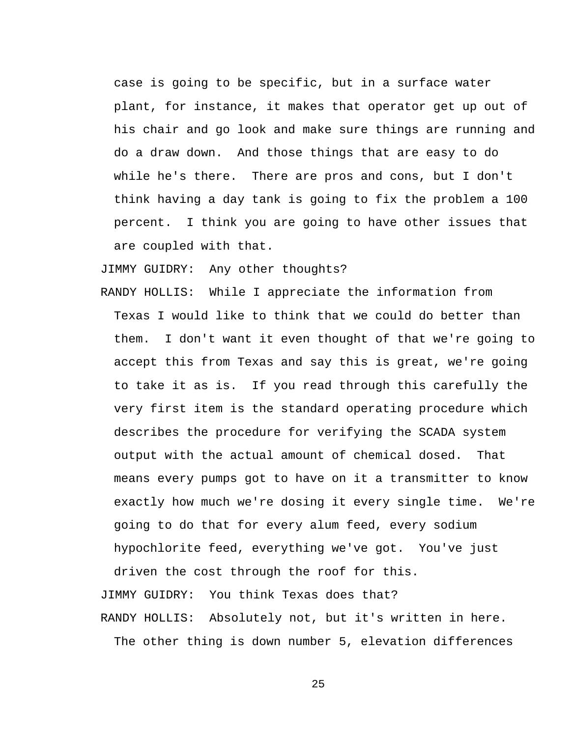case is going to be specific, but in a surface water plant, for instance, it makes that operator get up out of his chair and go look and make sure things are running and do a draw down. And those things that are easy to do while he's there. There are pros and cons, but I don't think having a day tank is going to fix the problem a 100 percent. I think you are going to have other issues that are coupled with that.

JIMMY GUIDRY: Any other thoughts?

RANDY HOLLIS: While I appreciate the information from Texas I would like to think that we could do better than them. I don't want it even thought of that we're going to accept this from Texas and say this is great, we're going to take it as is. If you read through this carefully the very first item is the standard operating procedure which describes the procedure for verifying the SCADA system output with the actual amount of chemical dosed. That means every pumps got to have on it a transmitter to know exactly how much we're dosing it every single time. We're going to do that for every alum feed, every sodium hypochlorite feed, everything we've got. You've just driven the cost through the roof for this.

JIMMY GUIDRY: You think Texas does that? RANDY HOLLIS: Absolutely not, but it's written in here. The other thing is down number 5, elevation differences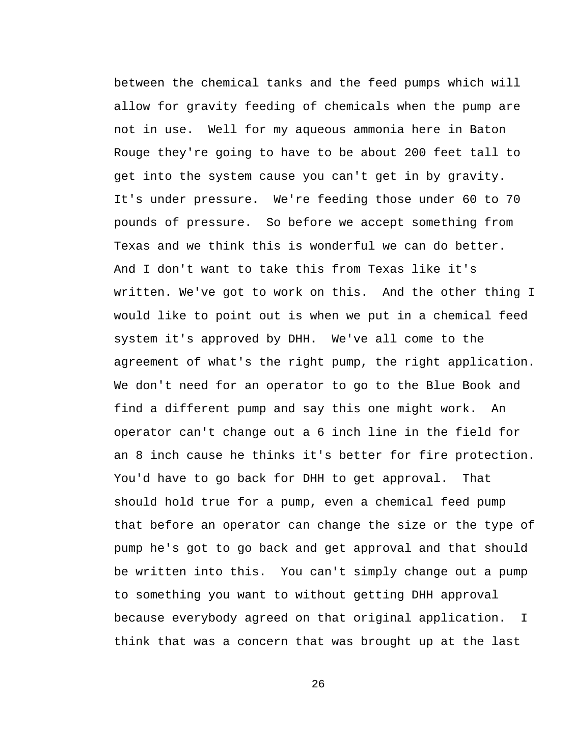between the chemical tanks and the feed pumps which will allow for gravity feeding of chemicals when the pump are not in use. Well for my aqueous ammonia here in Baton Rouge they're going to have to be about 200 feet tall to get into the system cause you can't get in by gravity. It's under pressure. We're feeding those under 60 to 70 pounds of pressure. So before we accept something from Texas and we think this is wonderful we can do better. And I don't want to take this from Texas like it's written. We've got to work on this. And the other thing I would like to point out is when we put in a chemical feed system it's approved by DHH. We've all come to the agreement of what's the right pump, the right application. We don't need for an operator to go to the Blue Book and find a different pump and say this one might work. An operator can't change out a 6 inch line in the field for an 8 inch cause he thinks it's better for fire protection. You'd have to go back for DHH to get approval. That should hold true for a pump, even a chemical feed pump that before an operator can change the size or the type of pump he's got to go back and get approval and that should be written into this. You can't simply change out a pump to something you want to without getting DHH approval because everybody agreed on that original application. I think that was a concern that was brought up at the last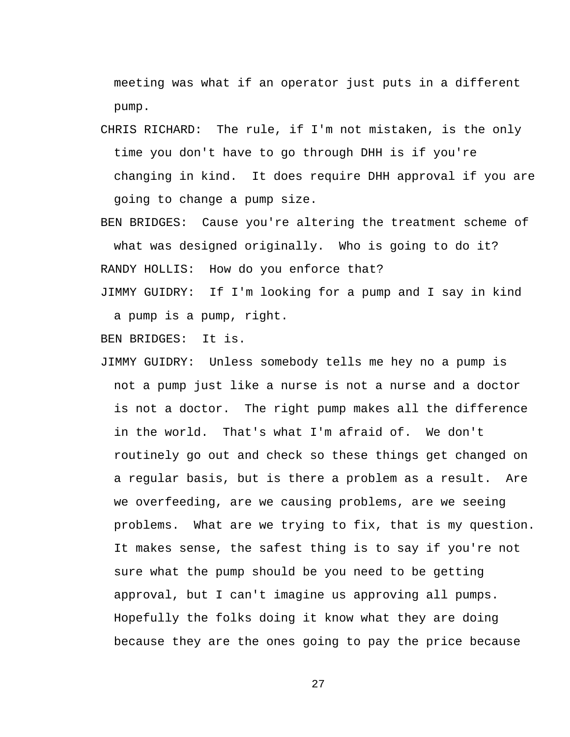meeting was what if an operator just puts in a different pump.

CHRIS RICHARD: The rule, if I'm not mistaken, is the only time you don't have to go through DHH is if you're changing in kind. It does require DHH approval if you are going to change a pump size.

BEN BRIDGES: Cause you're altering the treatment scheme of what was designed originally. Who is going to do it? RANDY HOLLIS: How do you enforce that?

JIMMY GUIDRY: If I'm looking for a pump and I say in kind a pump is a pump, right.

BEN BRIDGES: It is.

JIMMY GUIDRY: Unless somebody tells me hey no a pump is not a pump just like a nurse is not a nurse and a doctor is not a doctor. The right pump makes all the difference in the world. That's what I'm afraid of. We don't routinely go out and check so these things get changed on a regular basis, but is there a problem as a result. Are we overfeeding, are we causing problems, are we seeing problems. What are we trying to fix, that is my question. It makes sense, the safest thing is to say if you're not sure what the pump should be you need to be getting approval, but I can't imagine us approving all pumps. Hopefully the folks doing it know what they are doing because they are the ones going to pay the price because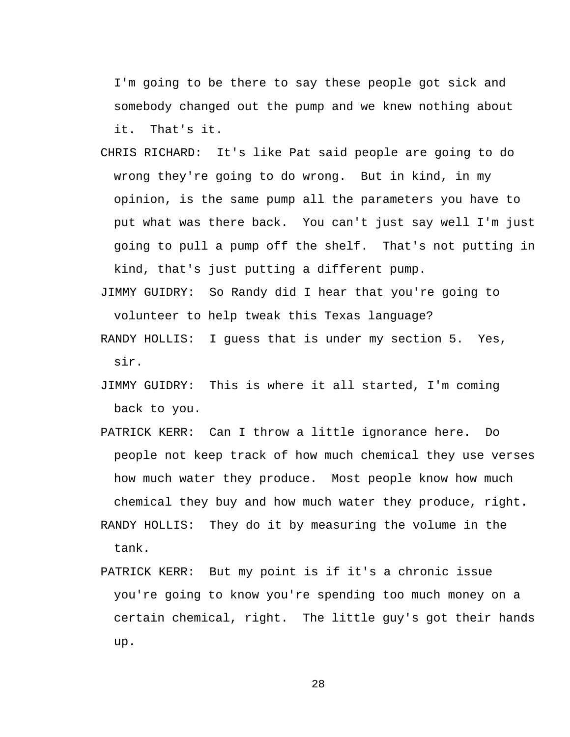I'm going to be there to say these people got sick and somebody changed out the pump and we knew nothing about it. That's it.

- CHRIS RICHARD: It's like Pat said people are going to do wrong they're going to do wrong. But in kind, in my opinion, is the same pump all the parameters you have to put what was there back. You can't just say well I'm just going to pull a pump off the shelf. That's not putting in kind, that's just putting a different pump.
- JIMMY GUIDRY: So Randy did I hear that you're going to volunteer to help tweak this Texas language?
- RANDY HOLLIS: I guess that is under my section 5. Yes, sir.
- JIMMY GUIDRY: This is where it all started, I'm coming back to you.
- PATRICK KERR: Can I throw a little ignorance here. Do people not keep track of how much chemical they use verses how much water they produce. Most people know how much chemical they buy and how much water they produce, right.
- RANDY HOLLIS: They do it by measuring the volume in the tank.
- PATRICK KERR: But my point is if it's a chronic issue you're going to know you're spending too much money on a certain chemical, right. The little guy's got their hands up.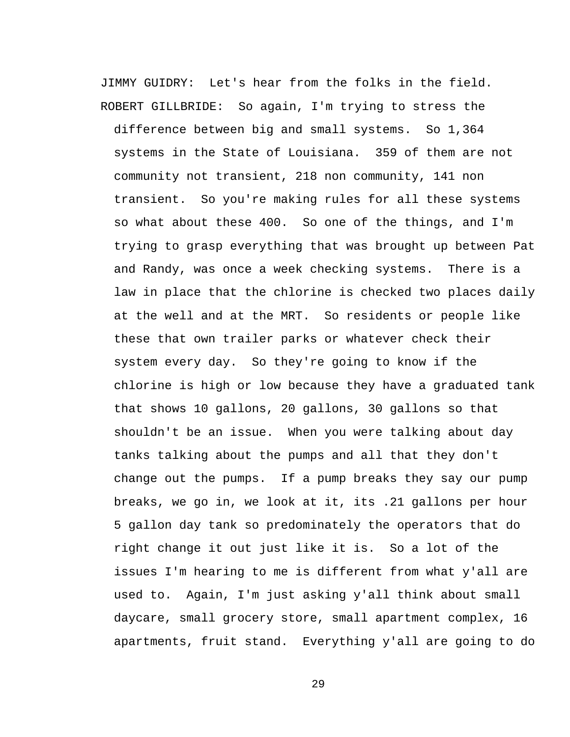JIMMY GUIDRY: Let's hear from the folks in the field. ROBERT GILLBRIDE: So again, I'm trying to stress the

difference between big and small systems. So 1,364 systems in the State of Louisiana. 359 of them are not community not transient, 218 non community, 141 non transient. So you're making rules for all these systems so what about these 400. So one of the things, and I'm trying to grasp everything that was brought up between Pat and Randy, was once a week checking systems. There is a law in place that the chlorine is checked two places daily at the well and at the MRT. So residents or people like these that own trailer parks or whatever check their system every day. So they're going to know if the chlorine is high or low because they have a graduated tank that shows 10 gallons, 20 gallons, 30 gallons so that shouldn't be an issue. When you were talking about day tanks talking about the pumps and all that they don't change out the pumps. If a pump breaks they say our pump breaks, we go in, we look at it, its .21 gallons per hour 5 gallon day tank so predominately the operators that do right change it out just like it is. So a lot of the issues I'm hearing to me is different from what y'all are used to. Again, I'm just asking y'all think about small daycare, small grocery store, small apartment complex, 16 apartments, fruit stand. Everything y'all are going to do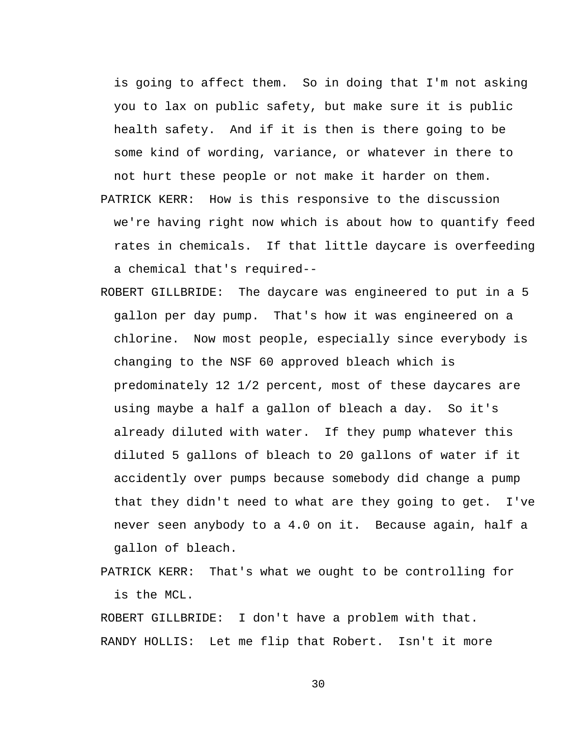is going to affect them. So in doing that I'm not asking you to lax on public safety, but make sure it is public health safety. And if it is then is there going to be some kind of wording, variance, or whatever in there to not hurt these people or not make it harder on them. PATRICK KERR: How is this responsive to the discussion we're having right now which is about how to quantify feed rates in chemicals. If that little daycare is overfeeding a chemical that's required--

- ROBERT GILLBRIDE: The daycare was engineered to put in a 5 gallon per day pump. That's how it was engineered on a chlorine. Now most people, especially since everybody is changing to the NSF 60 approved bleach which is predominately 12 1/2 percent, most of these daycares are using maybe a half a gallon of bleach a day. So it's already diluted with water. If they pump whatever this diluted 5 gallons of bleach to 20 gallons of water if it accidently over pumps because somebody did change a pump that they didn't need to what are they going to get. I've never seen anybody to a 4.0 on it. Because again, half a gallon of bleach.
- PATRICK KERR: That's what we ought to be controlling for is the MCL.

ROBERT GILLBRIDE: I don't have a problem with that. RANDY HOLLIS: Let me flip that Robert. Isn't it more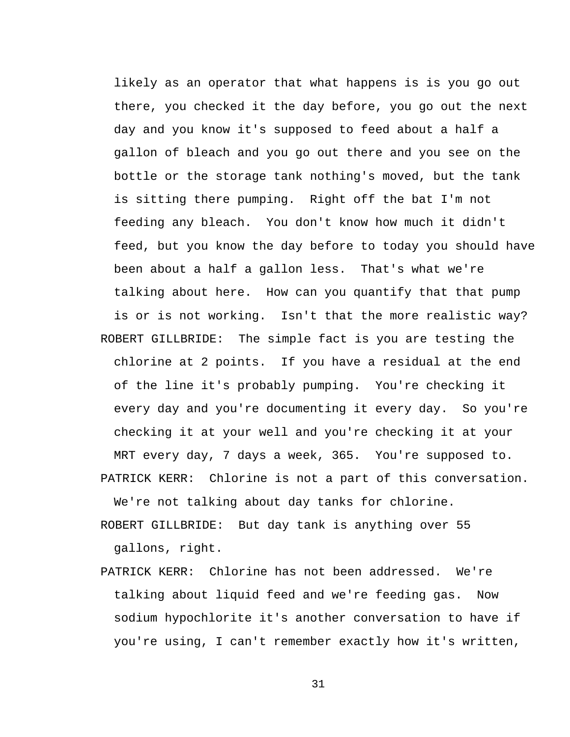likely as an operator that what happens is is you go out there, you checked it the day before, you go out the next day and you know it's supposed to feed about a half a gallon of bleach and you go out there and you see on the bottle or the storage tank nothing's moved, but the tank is sitting there pumping. Right off the bat I'm not feeding any bleach. You don't know how much it didn't feed, but you know the day before to today you should have been about a half a gallon less. That's what we're talking about here. How can you quantify that that pump is or is not working. Isn't that the more realistic way? ROBERT GILLBRIDE: The simple fact is you are testing the chlorine at 2 points. If you have a residual at the end of the line it's probably pumping. You're checking it every day and you're documenting it every day. So you're checking it at your well and you're checking it at your MRT every day, 7 days a week, 365. You're supposed to. PATRICK KERR: Chlorine is not a part of this conversation.

We're not talking about day tanks for chlorine.

ROBERT GILLBRIDE: But day tank is anything over 55 gallons, right.

PATRICK KERR: Chlorine has not been addressed. We're talking about liquid feed and we're feeding gas. Now sodium hypochlorite it's another conversation to have if you're using, I can't remember exactly how it's written,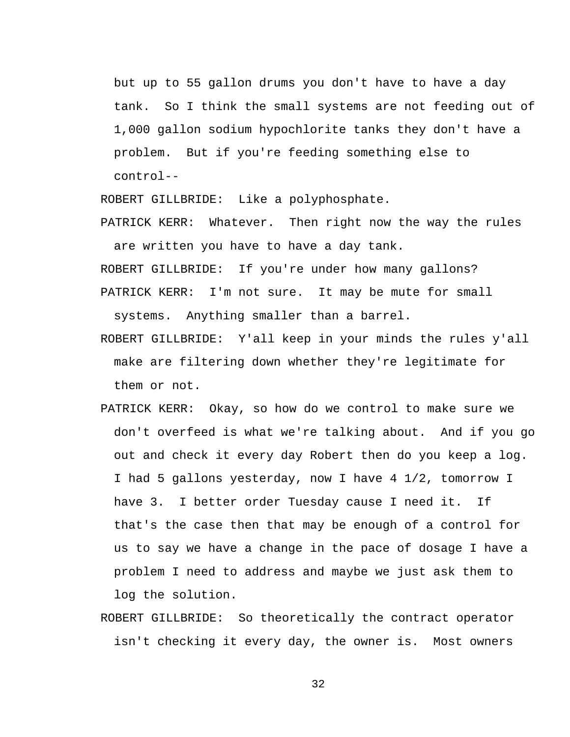but up to 55 gallon drums you don't have to have a day tank. So I think the small systems are not feeding out of 1,000 gallon sodium hypochlorite tanks they don't have a problem. But if you're feeding something else to control--

ROBERT GILLBRIDE: Like a polyphosphate.

PATRICK KERR: Whatever. Then right now the way the rules are written you have to have a day tank.

ROBERT GILLBRIDE: If you're under how many gallons?

- PATRICK KERR: I'm not sure. It may be mute for small systems. Anything smaller than a barrel.
- ROBERT GILLBRIDE: Y'all keep in your minds the rules y'all make are filtering down whether they're legitimate for them or not.
- PATRICK KERR: Okay, so how do we control to make sure we don't overfeed is what we're talking about. And if you go out and check it every day Robert then do you keep a log. I had 5 gallons yesterday, now I have 4 1/2, tomorrow I have 3. I better order Tuesday cause I need it. If that's the case then that may be enough of a control for us to say we have a change in the pace of dosage I have a problem I need to address and maybe we just ask them to log the solution.
- ROBERT GILLBRIDE: So theoretically the contract operator isn't checking it every day, the owner is. Most owners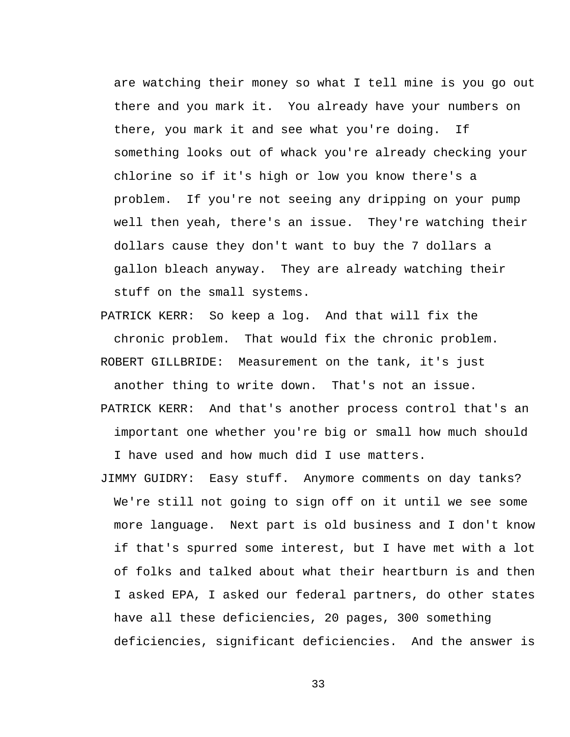are watching their money so what I tell mine is you go out there and you mark it. You already have your numbers on there, you mark it and see what you're doing. If something looks out of whack you're already checking your chlorine so if it's high or low you know there's a problem. If you're not seeing any dripping on your pump well then yeah, there's an issue. They're watching their dollars cause they don't want to buy the 7 dollars a gallon bleach anyway. They are already watching their stuff on the small systems.

PATRICK KERR: So keep a log. And that will fix the chronic problem. That would fix the chronic problem. ROBERT GILLBRIDE: Measurement on the tank, it's just

another thing to write down. That's not an issue. PATRICK KERR: And that's another process control that's an

important one whether you're big or small how much should I have used and how much did I use matters.

JIMMY GUIDRY: Easy stuff. Anymore comments on day tanks? We're still not going to sign off on it until we see some more language. Next part is old business and I don't know if that's spurred some interest, but I have met with a lot of folks and talked about what their heartburn is and then I asked EPA, I asked our federal partners, do other states have all these deficiencies, 20 pages, 300 something deficiencies, significant deficiencies. And the answer is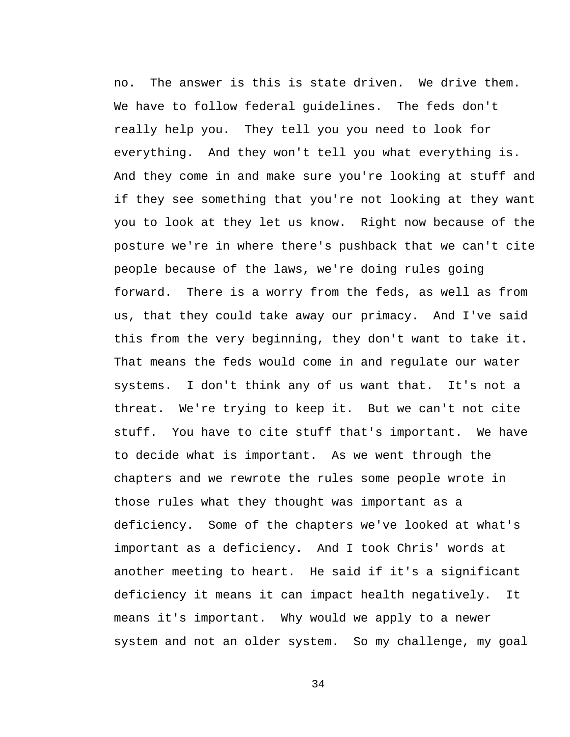no. The answer is this is state driven. We drive them. We have to follow federal guidelines. The feds don't really help you. They tell you you need to look for everything. And they won't tell you what everything is. And they come in and make sure you're looking at stuff and if they see something that you're not looking at they want you to look at they let us know. Right now because of the posture we're in where there's pushback that we can't cite people because of the laws, we're doing rules going forward. There is a worry from the feds, as well as from us, that they could take away our primacy. And I've said this from the very beginning, they don't want to take it. That means the feds would come in and regulate our water systems. I don't think any of us want that. It's not a threat. We're trying to keep it. But we can't not cite stuff. You have to cite stuff that's important. We have to decide what is important. As we went through the chapters and we rewrote the rules some people wrote in those rules what they thought was important as a deficiency. Some of the chapters we've looked at what's important as a deficiency. And I took Chris' words at another meeting to heart. He said if it's a significant deficiency it means it can impact health negatively. It means it's important. Why would we apply to a newer system and not an older system. So my challenge, my goal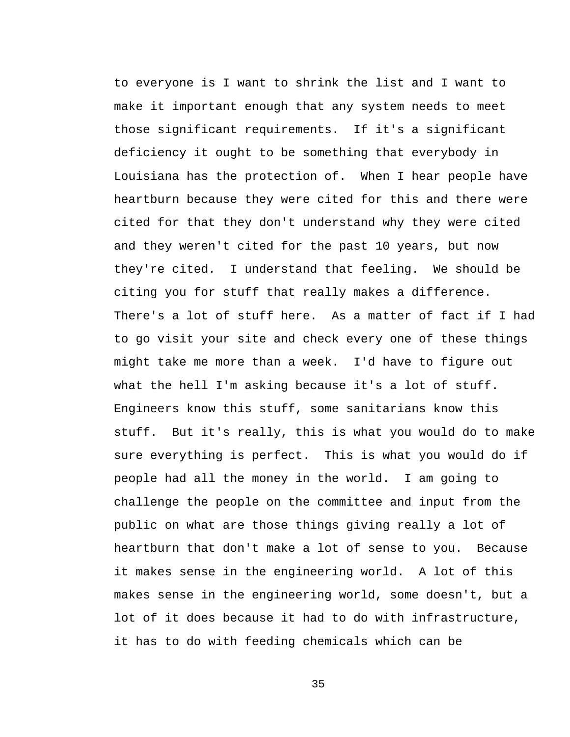to everyone is I want to shrink the list and I want to make it important enough that any system needs to meet those significant requirements. If it's a significant deficiency it ought to be something that everybody in Louisiana has the protection of. When I hear people have heartburn because they were cited for this and there were cited for that they don't understand why they were cited and they weren't cited for the past 10 years, but now they're cited. I understand that feeling. We should be citing you for stuff that really makes a difference. There's a lot of stuff here. As a matter of fact if I had to go visit your site and check every one of these things might take me more than a week. I'd have to figure out what the hell I'm asking because it's a lot of stuff. Engineers know this stuff, some sanitarians know this stuff. But it's really, this is what you would do to make sure everything is perfect. This is what you would do if people had all the money in the world. I am going to challenge the people on the committee and input from the public on what are those things giving really a lot of heartburn that don't make a lot of sense to you. Because it makes sense in the engineering world. A lot of this makes sense in the engineering world, some doesn't, but a lot of it does because it had to do with infrastructure, it has to do with feeding chemicals which can be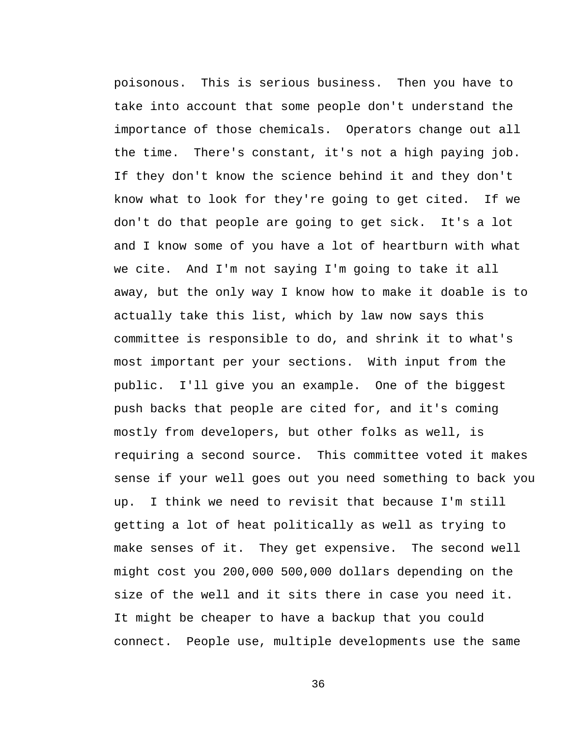poisonous. This is serious business. Then you have to take into account that some people don't understand the importance of those chemicals. Operators change out all the time. There's constant, it's not a high paying job. If they don't know the science behind it and they don't know what to look for they're going to get cited. If we don't do that people are going to get sick. It's a lot and I know some of you have a lot of heartburn with what we cite. And I'm not saying I'm going to take it all away, but the only way I know how to make it doable is to actually take this list, which by law now says this committee is responsible to do, and shrink it to what's most important per your sections. With input from the public. I'll give you an example. One of the biggest push backs that people are cited for, and it's coming mostly from developers, but other folks as well, is requiring a second source. This committee voted it makes sense if your well goes out you need something to back you up. I think we need to revisit that because I'm still getting a lot of heat politically as well as trying to make senses of it. They get expensive. The second well might cost you 200,000 500,000 dollars depending on the size of the well and it sits there in case you need it. It might be cheaper to have a backup that you could connect. People use, multiple developments use the same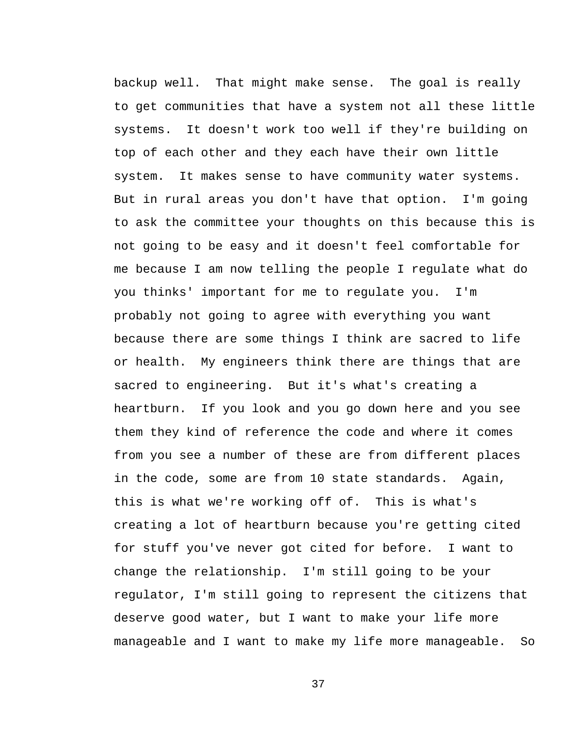backup well. That might make sense. The goal is really to get communities that have a system not all these little systems. It doesn't work too well if they're building on top of each other and they each have their own little system. It makes sense to have community water systems. But in rural areas you don't have that option. I'm going to ask the committee your thoughts on this because this is not going to be easy and it doesn't feel comfortable for me because I am now telling the people I regulate what do you thinks' important for me to regulate you. I'm probably not going to agree with everything you want because there are some things I think are sacred to life or health. My engineers think there are things that are sacred to engineering. But it's what's creating a heartburn. If you look and you go down here and you see them they kind of reference the code and where it comes from you see a number of these are from different places in the code, some are from 10 state standards. Again, this is what we're working off of. This is what's creating a lot of heartburn because you're getting cited for stuff you've never got cited for before. I want to change the relationship. I'm still going to be your regulator, I'm still going to represent the citizens that deserve good water, but I want to make your life more manageable and I want to make my life more manageable. So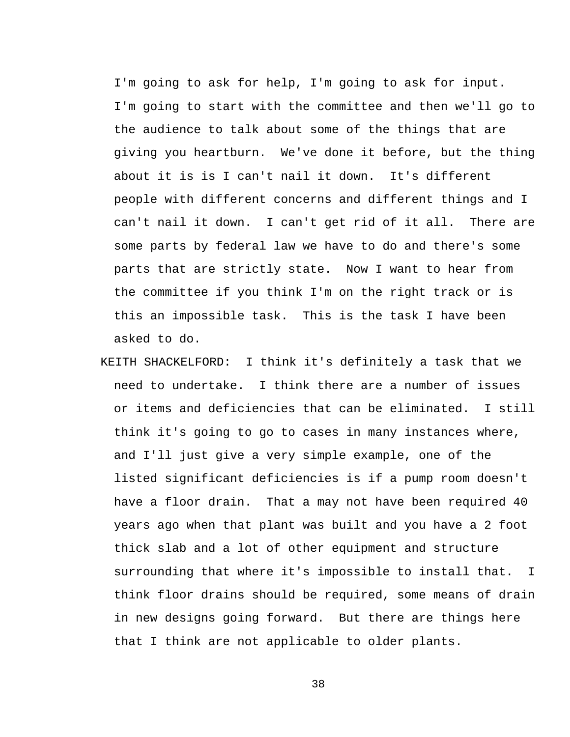I'm going to ask for help, I'm going to ask for input. I'm going to start with the committee and then we'll go to the audience to talk about some of the things that are giving you heartburn. We've done it before, but the thing about it is is I can't nail it down. It's different people with different concerns and different things and I can't nail it down. I can't get rid of it all. There are some parts by federal law we have to do and there's some parts that are strictly state. Now I want to hear from the committee if you think I'm on the right track or is this an impossible task. This is the task I have been asked to do.

KEITH SHACKELFORD: I think it's definitely a task that we need to undertake. I think there are a number of issues or items and deficiencies that can be eliminated. I still think it's going to go to cases in many instances where, and I'll just give a very simple example, one of the listed significant deficiencies is if a pump room doesn't have a floor drain. That a may not have been required 40 years ago when that plant was built and you have a 2 foot thick slab and a lot of other equipment and structure surrounding that where it's impossible to install that. I think floor drains should be required, some means of drain in new designs going forward. But there are things here that I think are not applicable to older plants.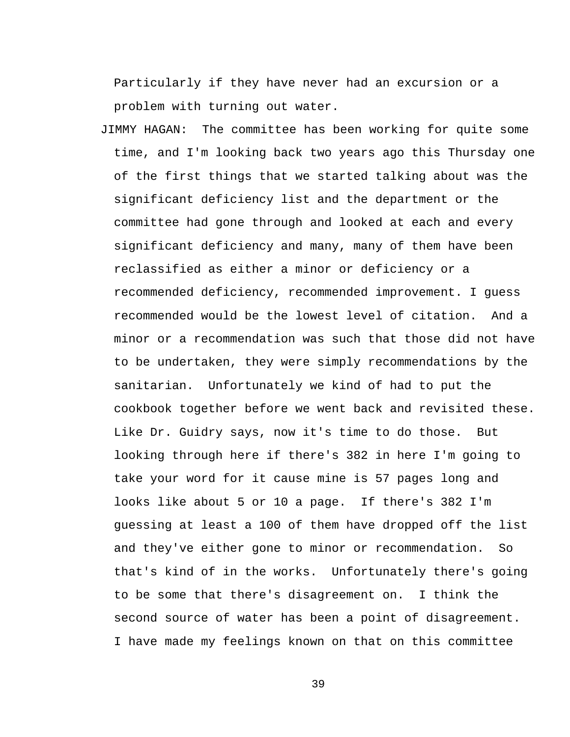Particularly if they have never had an excursion or a problem with turning out water.

JIMMY HAGAN: The committee has been working for quite some time, and I'm looking back two years ago this Thursday one of the first things that we started talking about was the significant deficiency list and the department or the committee had gone through and looked at each and every significant deficiency and many, many of them have been reclassified as either a minor or deficiency or a recommended deficiency, recommended improvement. I guess recommended would be the lowest level of citation. And a minor or a recommendation was such that those did not have to be undertaken, they were simply recommendations by the sanitarian. Unfortunately we kind of had to put the cookbook together before we went back and revisited these. Like Dr. Guidry says, now it's time to do those. But looking through here if there's 382 in here I'm going to take your word for it cause mine is 57 pages long and looks like about 5 or 10 a page. If there's 382 I'm guessing at least a 100 of them have dropped off the list and they've either gone to minor or recommendation. So that's kind of in the works. Unfortunately there's going to be some that there's disagreement on. I think the second source of water has been a point of disagreement. I have made my feelings known on that on this committee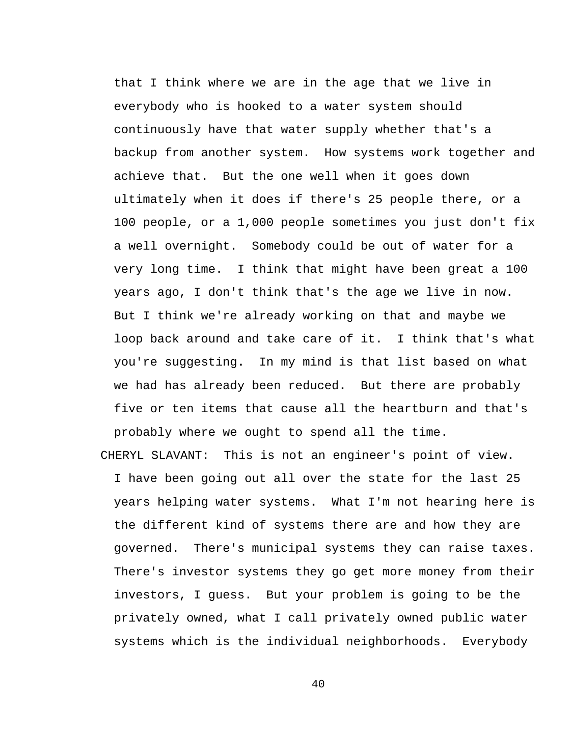that I think where we are in the age that we live in everybody who is hooked to a water system should continuously have that water supply whether that's a backup from another system. How systems work together and achieve that. But the one well when it goes down ultimately when it does if there's 25 people there, or a 100 people, or a 1,000 people sometimes you just don't fix a well overnight. Somebody could be out of water for a very long time. I think that might have been great a 100 years ago, I don't think that's the age we live in now. But I think we're already working on that and maybe we loop back around and take care of it. I think that's what you're suggesting. In my mind is that list based on what we had has already been reduced. But there are probably five or ten items that cause all the heartburn and that's probably where we ought to spend all the time.

CHERYL SLAVANT: This is not an engineer's point of view. I have been going out all over the state for the last 25 years helping water systems. What I'm not hearing here is the different kind of systems there are and how they are governed. There's municipal systems they can raise taxes. There's investor systems they go get more money from their investors, I guess. But your problem is going to be the privately owned, what I call privately owned public water systems which is the individual neighborhoods. Everybody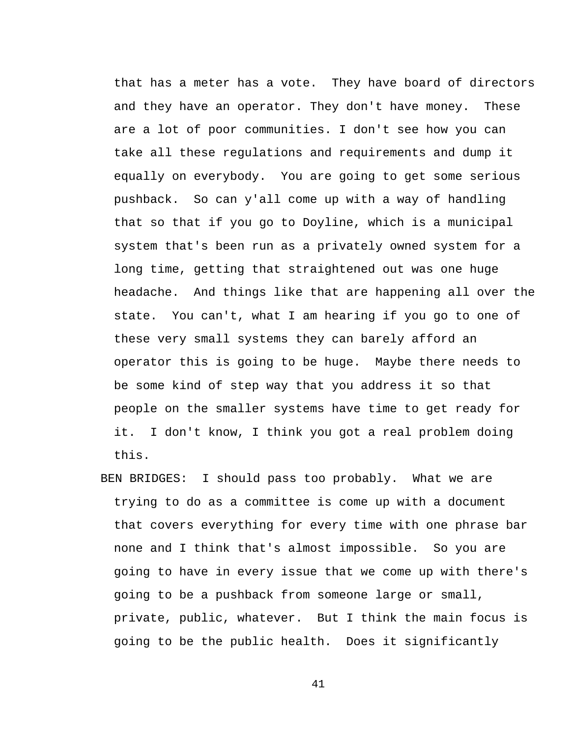that has a meter has a vote. They have board of directors and they have an operator. They don't have money. These are a lot of poor communities. I don't see how you can take all these regulations and requirements and dump it equally on everybody. You are going to get some serious pushback. So can y'all come up with a way of handling that so that if you go to Doyline, which is a municipal system that's been run as a privately owned system for a long time, getting that straightened out was one huge headache. And things like that are happening all over the state. You can't, what I am hearing if you go to one of these very small systems they can barely afford an operator this is going to be huge. Maybe there needs to be some kind of step way that you address it so that people on the smaller systems have time to get ready for it. I don't know, I think you got a real problem doing this.

BEN BRIDGES: I should pass too probably. What we are trying to do as a committee is come up with a document that covers everything for every time with one phrase bar none and I think that's almost impossible. So you are going to have in every issue that we come up with there's going to be a pushback from someone large or small, private, public, whatever. But I think the main focus is going to be the public health. Does it significantly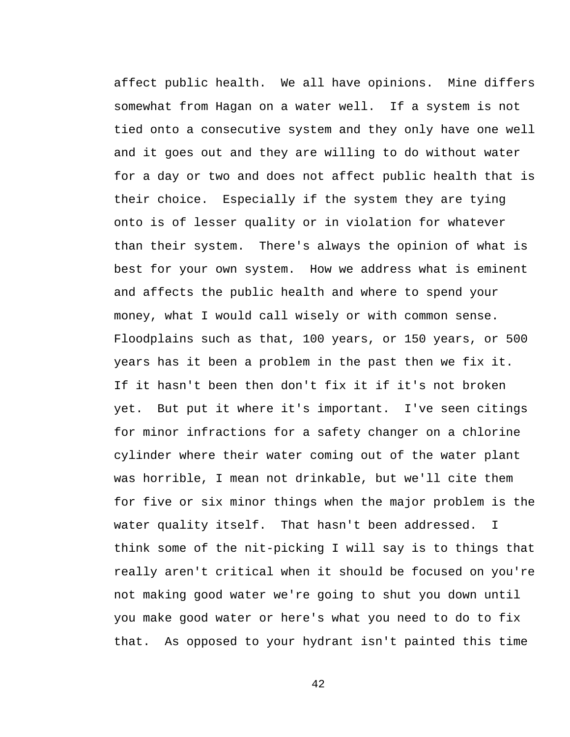affect public health. We all have opinions. Mine differs somewhat from Hagan on a water well. If a system is not tied onto a consecutive system and they only have one well and it goes out and they are willing to do without water for a day or two and does not affect public health that is their choice. Especially if the system they are tying onto is of lesser quality or in violation for whatever than their system. There's always the opinion of what is best for your own system. How we address what is eminent and affects the public health and where to spend your money, what I would call wisely or with common sense. Floodplains such as that, 100 years, or 150 years, or 500 years has it been a problem in the past then we fix it. If it hasn't been then don't fix it if it's not broken yet. But put it where it's important. I've seen citings for minor infractions for a safety changer on a chlorine cylinder where their water coming out of the water plant was horrible, I mean not drinkable, but we'll cite them for five or six minor things when the major problem is the water quality itself. That hasn't been addressed. I think some of the nit-picking I will say is to things that really aren't critical when it should be focused on you're not making good water we're going to shut you down until you make good water or here's what you need to do to fix that. As opposed to your hydrant isn't painted this time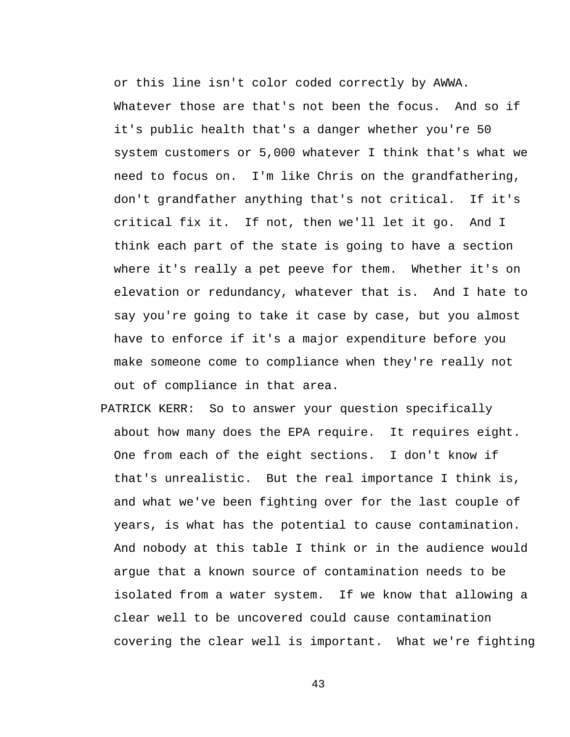or this line isn't color coded correctly by AWWA. Whatever those are that's not been the focus. And so if it's public health that's a danger whether you're 50 system customers or 5,000 whatever I think that's what we need to focus on. I'm like Chris on the grandfathering, don't grandfather anything that's not critical. If it's critical fix it. If not, then we'll let it go. And I think each part of the state is going to have a section where it's really a pet peeve for them. Whether it's on elevation or redundancy, whatever that is. And I hate to say you're going to take it case by case, but you almost have to enforce if it's a major expenditure before you make someone come to compliance when they're really not out of compliance in that area.

PATRICK KERR: So to answer your question specifically about how many does the EPA require. It requires eight. One from each of the eight sections. I don't know if that's unrealistic. But the real importance I think is, and what we've been fighting over for the last couple of years, is what has the potential to cause contamination. And nobody at this table I think or in the audience would argue that a known source of contamination needs to be isolated from a water system. If we know that allowing a clear well to be uncovered could cause contamination covering the clear well is important. What we're fighting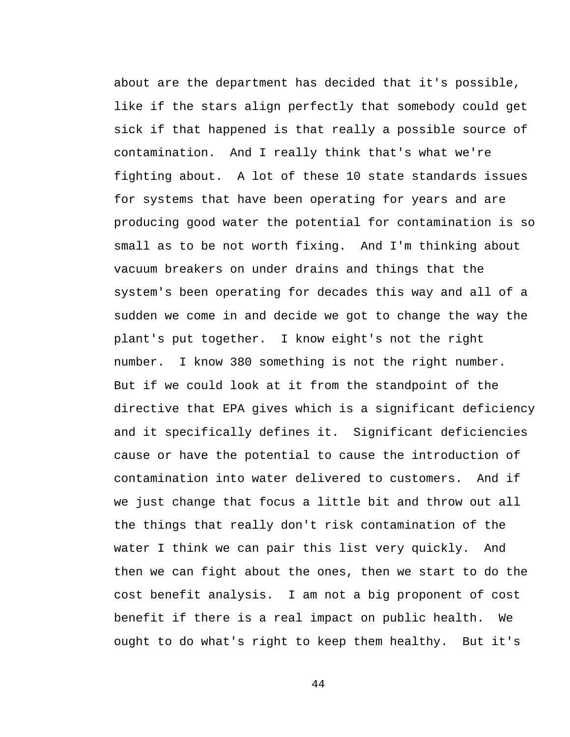about are the department has decided that it's possible, like if the stars align perfectly that somebody could get sick if that happened is that really a possible source of contamination. And I really think that's what we're fighting about. A lot of these 10 state standards issues for systems that have been operating for years and are producing good water the potential for contamination is so small as to be not worth fixing. And I'm thinking about vacuum breakers on under drains and things that the system's been operating for decades this way and all of a sudden we come in and decide we got to change the way the plant's put together. I know eight's not the right number. I know 380 something is not the right number. But if we could look at it from the standpoint of the directive that EPA gives which is a significant deficiency and it specifically defines it. Significant deficiencies cause or have the potential to cause the introduction of contamination into water delivered to customers. And if we just change that focus a little bit and throw out all the things that really don't risk contamination of the water I think we can pair this list very quickly. And then we can fight about the ones, then we start to do the cost benefit analysis. I am not a big proponent of cost benefit if there is a real impact on public health. We ought to do what's right to keep them healthy. But it's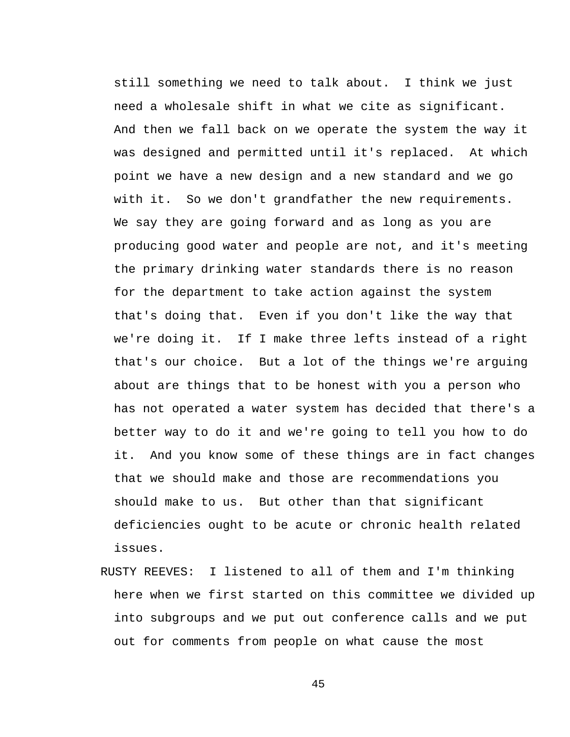still something we need to talk about. I think we just need a wholesale shift in what we cite as significant. And then we fall back on we operate the system the way it was designed and permitted until it's replaced. At which point we have a new design and a new standard and we go with it. So we don't grandfather the new requirements. We say they are going forward and as long as you are producing good water and people are not, and it's meeting the primary drinking water standards there is no reason for the department to take action against the system that's doing that. Even if you don't like the way that we're doing it. If I make three lefts instead of a right that's our choice. But a lot of the things we're arguing about are things that to be honest with you a person who has not operated a water system has decided that there's a better way to do it and we're going to tell you how to do it. And you know some of these things are in fact changes that we should make and those are recommendations you should make to us. But other than that significant deficiencies ought to be acute or chronic health related issues.

RUSTY REEVES: I listened to all of them and I'm thinking here when we first started on this committee we divided up into subgroups and we put out conference calls and we put out for comments from people on what cause the most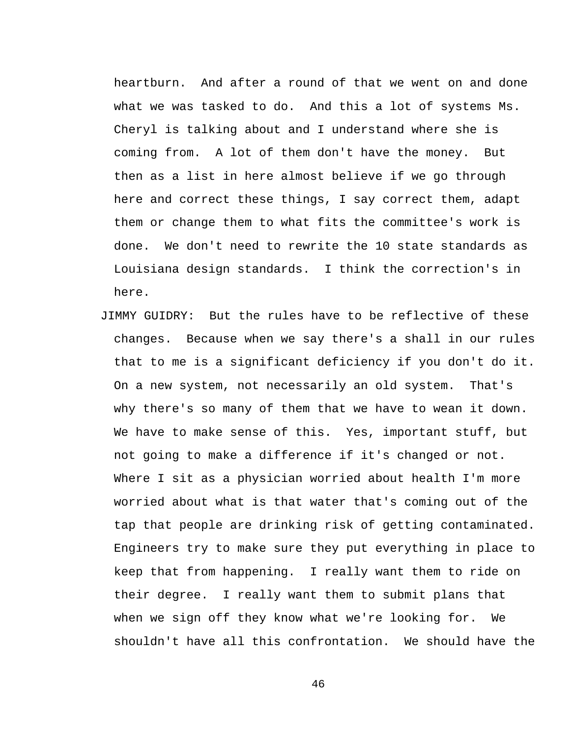heartburn. And after a round of that we went on and done what we was tasked to do. And this a lot of systems Ms. Cheryl is talking about and I understand where she is coming from. A lot of them don't have the money. But then as a list in here almost believe if we go through here and correct these things, I say correct them, adapt them or change them to what fits the committee's work is done. We don't need to rewrite the 10 state standards as Louisiana design standards. I think the correction's in here.

JIMMY GUIDRY: But the rules have to be reflective of these changes. Because when we say there's a shall in our rules that to me is a significant deficiency if you don't do it. On a new system, not necessarily an old system. That's why there's so many of them that we have to wean it down. We have to make sense of this. Yes, important stuff, but not going to make a difference if it's changed or not. Where I sit as a physician worried about health I'm more worried about what is that water that's coming out of the tap that people are drinking risk of getting contaminated. Engineers try to make sure they put everything in place to keep that from happening. I really want them to ride on their degree. I really want them to submit plans that when we sign off they know what we're looking for. We shouldn't have all this confrontation. We should have the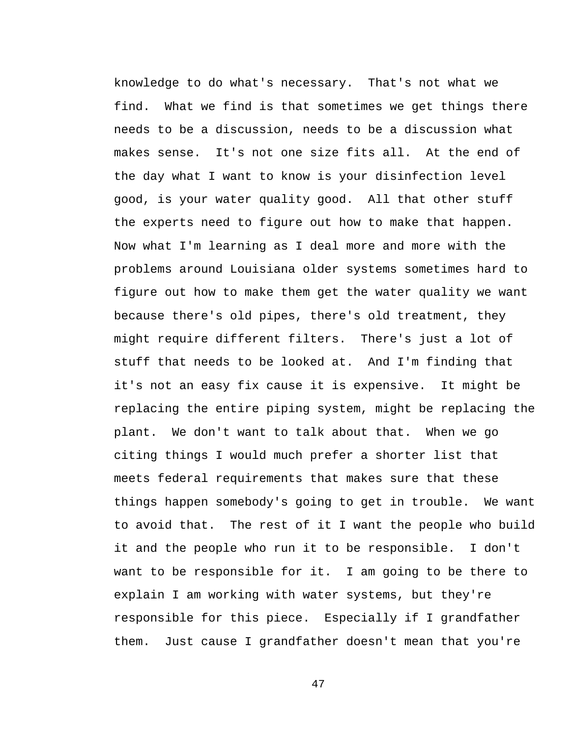knowledge to do what's necessary. That's not what we find. What we find is that sometimes we get things there needs to be a discussion, needs to be a discussion what makes sense. It's not one size fits all. At the end of the day what I want to know is your disinfection level good, is your water quality good. All that other stuff the experts need to figure out how to make that happen. Now what I'm learning as I deal more and more with the problems around Louisiana older systems sometimes hard to figure out how to make them get the water quality we want because there's old pipes, there's old treatment, they might require different filters. There's just a lot of stuff that needs to be looked at. And I'm finding that it's not an easy fix cause it is expensive. It might be replacing the entire piping system, might be replacing the plant. We don't want to talk about that. When we go citing things I would much prefer a shorter list that meets federal requirements that makes sure that these things happen somebody's going to get in trouble. We want to avoid that. The rest of it I want the people who build it and the people who run it to be responsible. I don't want to be responsible for it. I am going to be there to explain I am working with water systems, but they're responsible for this piece. Especially if I grandfather them. Just cause I grandfather doesn't mean that you're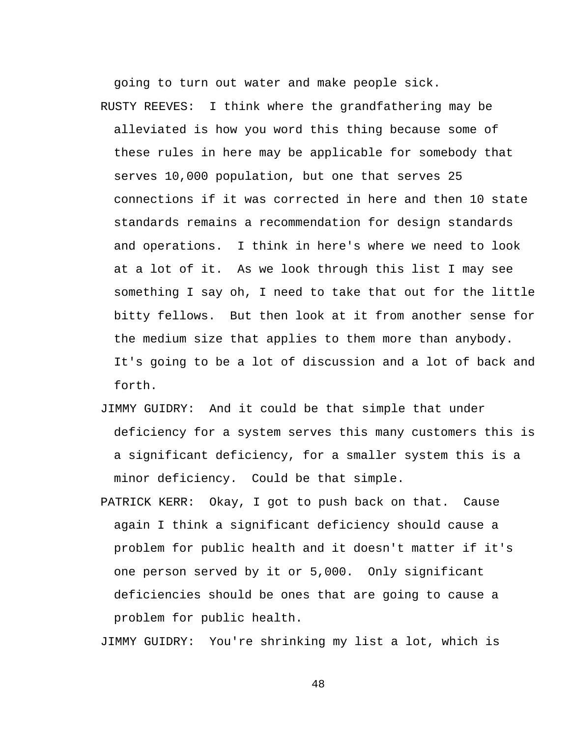going to turn out water and make people sick. RUSTY REEVES: I think where the grandfathering may be alleviated is how you word this thing because some of these rules in here may be applicable for somebody that serves 10,000 population, but one that serves 25 connections if it was corrected in here and then 10 state standards remains a recommendation for design standards and operations. I think in here's where we need to look at a lot of it. As we look through this list I may see something I say oh, I need to take that out for the little bitty fellows. But then look at it from another sense for the medium size that applies to them more than anybody. It's going to be a lot of discussion and a lot of back and forth.

- JIMMY GUIDRY: And it could be that simple that under deficiency for a system serves this many customers this is a significant deficiency, for a smaller system this is a minor deficiency. Could be that simple.
- PATRICK KERR: Okay, I got to push back on that. Cause again I think a significant deficiency should cause a problem for public health and it doesn't matter if it's one person served by it or 5,000. Only significant deficiencies should be ones that are going to cause a problem for public health.

JIMMY GUIDRY: You're shrinking my list a lot, which is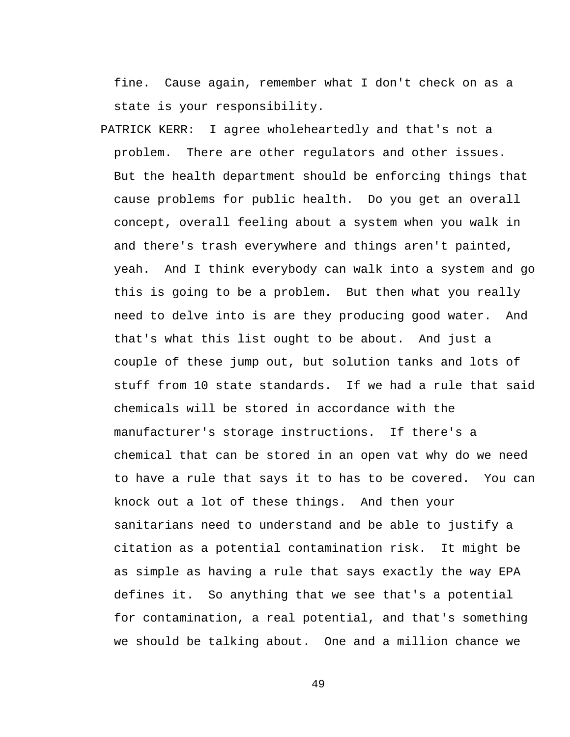fine. Cause again, remember what I don't check on as a state is your responsibility.

PATRICK KERR: I agree wholeheartedly and that's not a problem. There are other regulators and other issues. But the health department should be enforcing things that cause problems for public health. Do you get an overall concept, overall feeling about a system when you walk in and there's trash everywhere and things aren't painted, yeah. And I think everybody can walk into a system and go this is going to be a problem. But then what you really need to delve into is are they producing good water. And that's what this list ought to be about. And just a couple of these jump out, but solution tanks and lots of stuff from 10 state standards. If we had a rule that said chemicals will be stored in accordance with the manufacturer's storage instructions. If there's a chemical that can be stored in an open vat why do we need to have a rule that says it to has to be covered. You can knock out a lot of these things. And then your sanitarians need to understand and be able to justify a citation as a potential contamination risk. It might be as simple as having a rule that says exactly the way EPA defines it. So anything that we see that's a potential for contamination, a real potential, and that's something we should be talking about. One and a million chance we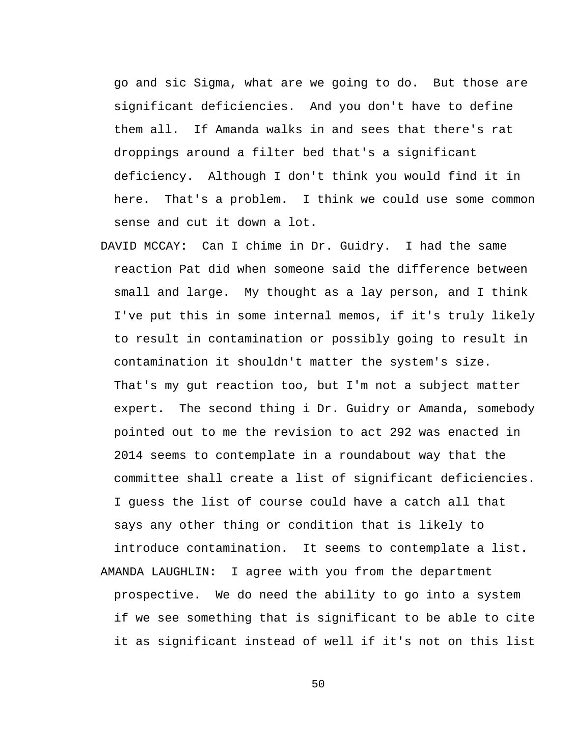go and sic Sigma, what are we going to do. But those are significant deficiencies. And you don't have to define them all. If Amanda walks in and sees that there's rat droppings around a filter bed that's a significant deficiency. Although I don't think you would find it in here. That's a problem. I think we could use some common sense and cut it down a lot.

DAVID MCCAY: Can I chime in Dr. Guidry. I had the same reaction Pat did when someone said the difference between small and large. My thought as a lay person, and I think I've put this in some internal memos, if it's truly likely to result in contamination or possibly going to result in contamination it shouldn't matter the system's size. That's my gut reaction too, but I'm not a subject matter expert. The second thing i Dr. Guidry or Amanda, somebody pointed out to me the revision to act 292 was enacted in 2014 seems to contemplate in a roundabout way that the committee shall create a list of significant deficiencies. I guess the list of course could have a catch all that says any other thing or condition that is likely to introduce contamination. It seems to contemplate a list. AMANDA LAUGHLIN: I agree with you from the department prospective. We do need the ability to go into a system if we see something that is significant to be able to cite it as significant instead of well if it's not on this list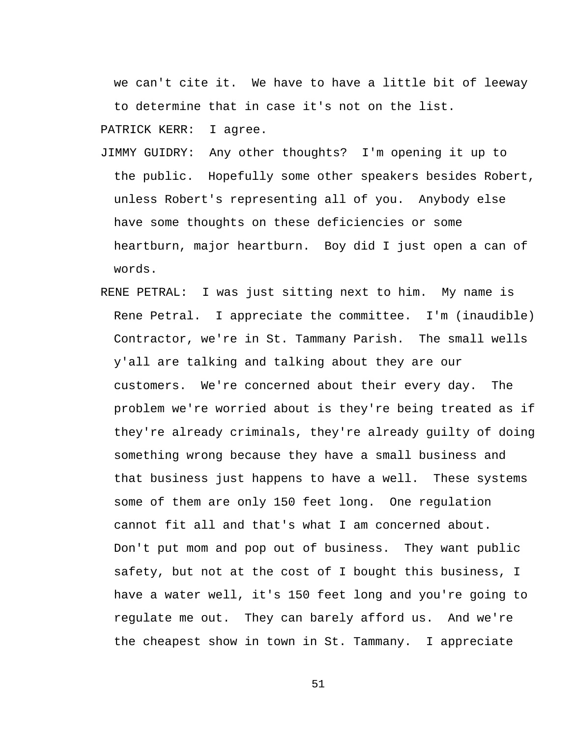we can't cite it. We have to have a little bit of leeway to determine that in case it's not on the list.

PATRICK KERR: I agree.

- JIMMY GUIDRY: Any other thoughts? I'm opening it up to the public. Hopefully some other speakers besides Robert, unless Robert's representing all of you. Anybody else have some thoughts on these deficiencies or some heartburn, major heartburn. Boy did I just open a can of words.
- RENE PETRAL: I was just sitting next to him. My name is Rene Petral. I appreciate the committee. I'm (inaudible) Contractor, we're in St. Tammany Parish. The small wells y'all are talking and talking about they are our customers. We're concerned about their every day. The problem we're worried about is they're being treated as if they're already criminals, they're already guilty of doing something wrong because they have a small business and that business just happens to have a well. These systems some of them are only 150 feet long. One regulation cannot fit all and that's what I am concerned about. Don't put mom and pop out of business. They want public safety, but not at the cost of I bought this business, I have a water well, it's 150 feet long and you're going to regulate me out. They can barely afford us. And we're the cheapest show in town in St. Tammany. I appreciate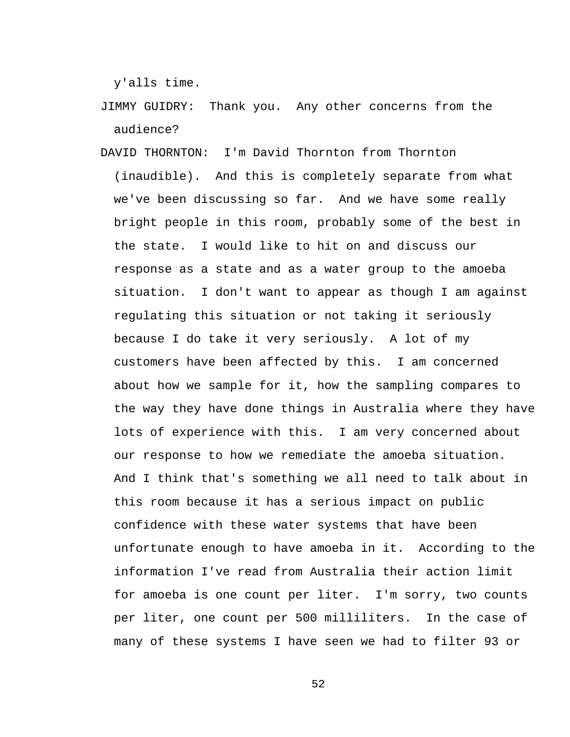y'alls time.

- JIMMY GUIDRY: Thank you. Any other concerns from the audience?
- DAVID THORNTON: I'm David Thornton from Thornton (inaudible). And this is completely separate from what we've been discussing so far. And we have some really bright people in this room, probably some of the best in the state. I would like to hit on and discuss our response as a state and as a water group to the amoeba situation. I don't want to appear as though I am against regulating this situation or not taking it seriously because I do take it very seriously. A lot of my customers have been affected by this. I am concerned about how we sample for it, how the sampling compares to the way they have done things in Australia where they have lots of experience with this. I am very concerned about our response to how we remediate the amoeba situation. And I think that's something we all need to talk about in this room because it has a serious impact on public confidence with these water systems that have been unfortunate enough to have amoeba in it. According to the information I've read from Australia their action limit for amoeba is one count per liter. I'm sorry, two counts per liter, one count per 500 milliliters. In the case of many of these systems I have seen we had to filter 93 or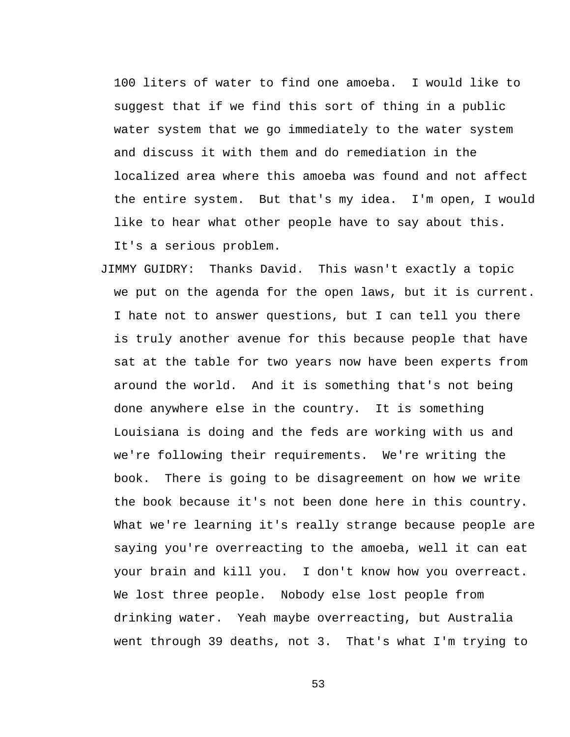100 liters of water to find one amoeba. I would like to suggest that if we find this sort of thing in a public water system that we go immediately to the water system and discuss it with them and do remediation in the localized area where this amoeba was found and not affect the entire system. But that's my idea. I'm open, I would like to hear what other people have to say about this. It's a serious problem.

JIMMY GUIDRY: Thanks David. This wasn't exactly a topic we put on the agenda for the open laws, but it is current. I hate not to answer questions, but I can tell you there is truly another avenue for this because people that have sat at the table for two years now have been experts from around the world. And it is something that's not being done anywhere else in the country. It is something Louisiana is doing and the feds are working with us and we're following their requirements. We're writing the book. There is going to be disagreement on how we write the book because it's not been done here in this country. What we're learning it's really strange because people are saying you're overreacting to the amoeba, well it can eat your brain and kill you. I don't know how you overreact. We lost three people. Nobody else lost people from drinking water. Yeah maybe overreacting, but Australia went through 39 deaths, not 3. That's what I'm trying to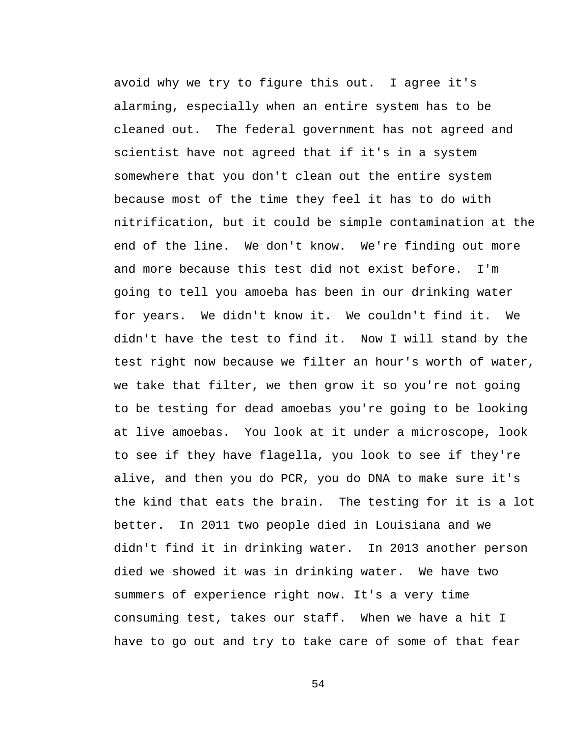avoid why we try to figure this out. I agree it's alarming, especially when an entire system has to be cleaned out. The federal government has not agreed and scientist have not agreed that if it's in a system somewhere that you don't clean out the entire system because most of the time they feel it has to do with nitrification, but it could be simple contamination at the end of the line. We don't know. We're finding out more and more because this test did not exist before. I'm going to tell you amoeba has been in our drinking water for years. We didn't know it. We couldn't find it. We didn't have the test to find it. Now I will stand by the test right now because we filter an hour's worth of water, we take that filter, we then grow it so you're not going to be testing for dead amoebas you're going to be looking at live amoebas. You look at it under a microscope, look to see if they have flagella, you look to see if they're alive, and then you do PCR, you do DNA to make sure it's the kind that eats the brain. The testing for it is a lot better. In 2011 two people died in Louisiana and we didn't find it in drinking water. In 2013 another person died we showed it was in drinking water. We have two summers of experience right now. It's a very time consuming test, takes our staff. When we have a hit I have to go out and try to take care of some of that fear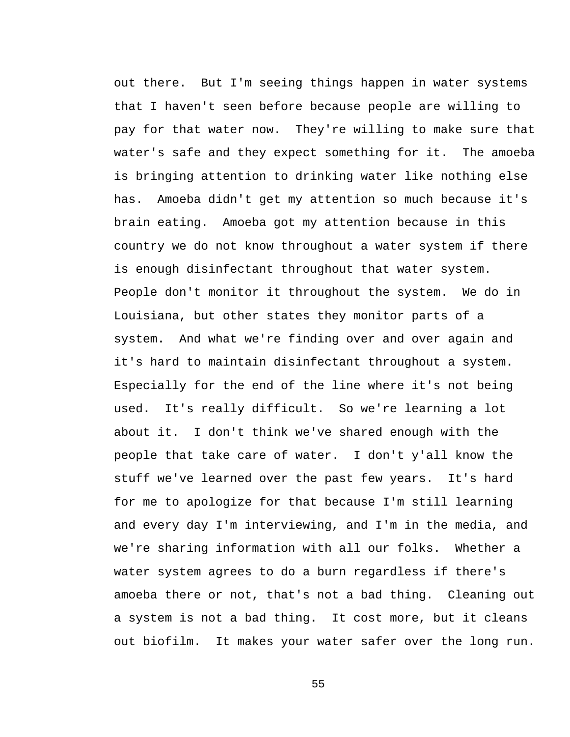out there. But I'm seeing things happen in water systems that I haven't seen before because people are willing to pay for that water now. They're willing to make sure that water's safe and they expect something for it. The amoeba is bringing attention to drinking water like nothing else has. Amoeba didn't get my attention so much because it's brain eating. Amoeba got my attention because in this country we do not know throughout a water system if there is enough disinfectant throughout that water system. People don't monitor it throughout the system. We do in Louisiana, but other states they monitor parts of a system. And what we're finding over and over again and it's hard to maintain disinfectant throughout a system. Especially for the end of the line where it's not being used. It's really difficult. So we're learning a lot about it. I don't think we've shared enough with the people that take care of water. I don't y'all know the stuff we've learned over the past few years. It's hard for me to apologize for that because I'm still learning and every day I'm interviewing, and I'm in the media, and we're sharing information with all our folks. Whether a water system agrees to do a burn regardless if there's amoeba there or not, that's not a bad thing. Cleaning out a system is not a bad thing. It cost more, but it cleans out biofilm. It makes your water safer over the long run.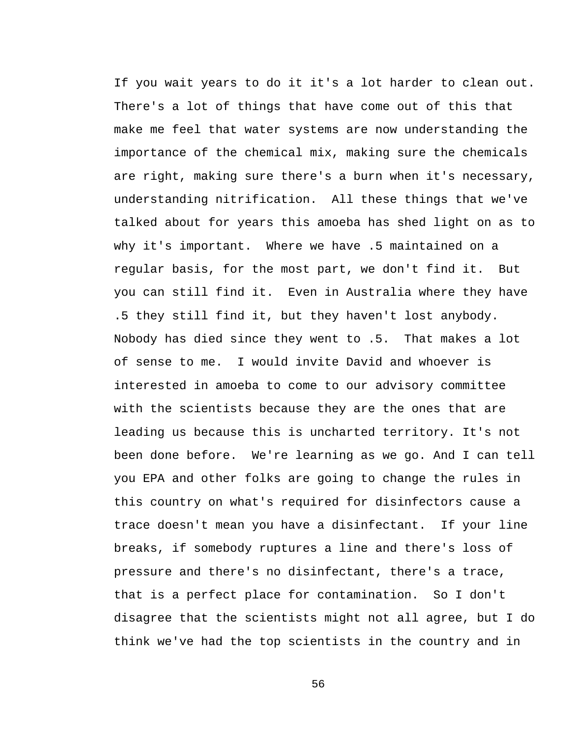If you wait years to do it it's a lot harder to clean out. There's a lot of things that have come out of this that make me feel that water systems are now understanding the importance of the chemical mix, making sure the chemicals are right, making sure there's a burn when it's necessary, understanding nitrification. All these things that we've talked about for years this amoeba has shed light on as to why it's important. Where we have .5 maintained on a regular basis, for the most part, we don't find it. But you can still find it. Even in Australia where they have .5 they still find it, but they haven't lost anybody. Nobody has died since they went to .5. That makes a lot of sense to me. I would invite David and whoever is interested in amoeba to come to our advisory committee with the scientists because they are the ones that are leading us because this is uncharted territory. It's not been done before. We're learning as we go. And I can tell you EPA and other folks are going to change the rules in this country on what's required for disinfectors cause a trace doesn't mean you have a disinfectant. If your line breaks, if somebody ruptures a line and there's loss of pressure and there's no disinfectant, there's a trace, that is a perfect place for contamination. So I don't disagree that the scientists might not all agree, but I do think we've had the top scientists in the country and in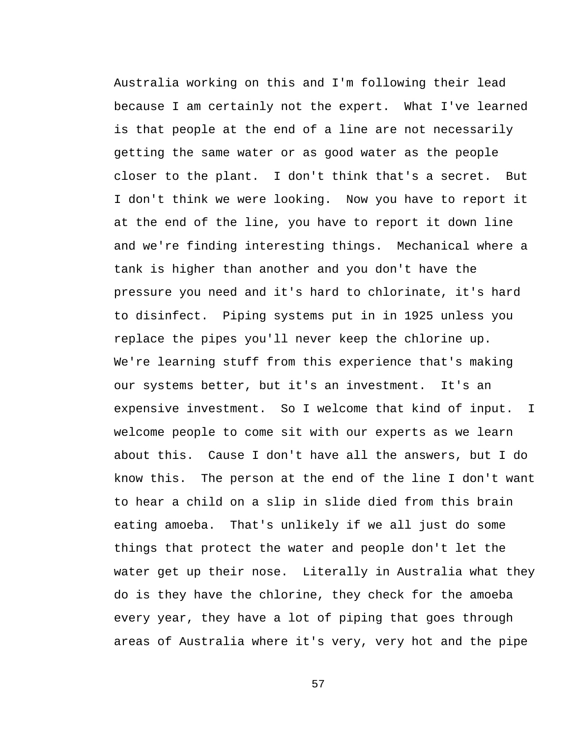Australia working on this and I'm following their lead because I am certainly not the expert. What I've learned is that people at the end of a line are not necessarily getting the same water or as good water as the people closer to the plant. I don't think that's a secret. But I don't think we were looking. Now you have to report it at the end of the line, you have to report it down line and we're finding interesting things. Mechanical where a tank is higher than another and you don't have the pressure you need and it's hard to chlorinate, it's hard to disinfect. Piping systems put in in 1925 unless you replace the pipes you'll never keep the chlorine up. We're learning stuff from this experience that's making our systems better, but it's an investment. It's an expensive investment. So I welcome that kind of input. I welcome people to come sit with our experts as we learn about this. Cause I don't have all the answers, but I do know this. The person at the end of the line I don't want to hear a child on a slip in slide died from this brain eating amoeba. That's unlikely if we all just do some things that protect the water and people don't let the water get up their nose. Literally in Australia what they do is they have the chlorine, they check for the amoeba every year, they have a lot of piping that goes through areas of Australia where it's very, very hot and the pipe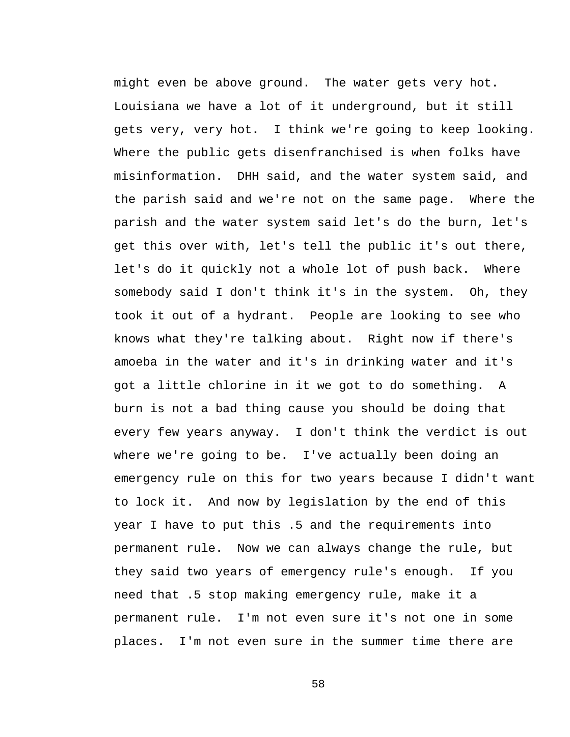might even be above ground. The water gets very hot. Louisiana we have a lot of it underground, but it still gets very, very hot. I think we're going to keep looking. Where the public gets disenfranchised is when folks have misinformation. DHH said, and the water system said, and the parish said and we're not on the same page. Where the parish and the water system said let's do the burn, let's get this over with, let's tell the public it's out there, let's do it quickly not a whole lot of push back. Where somebody said I don't think it's in the system. Oh, they took it out of a hydrant. People are looking to see who knows what they're talking about. Right now if there's amoeba in the water and it's in drinking water and it's got a little chlorine in it we got to do something. A burn is not a bad thing cause you should be doing that every few years anyway. I don't think the verdict is out where we're going to be. I've actually been doing an emergency rule on this for two years because I didn't want to lock it. And now by legislation by the end of this year I have to put this .5 and the requirements into permanent rule. Now we can always change the rule, but they said two years of emergency rule's enough. If you need that .5 stop making emergency rule, make it a permanent rule. I'm not even sure it's not one in some places. I'm not even sure in the summer time there are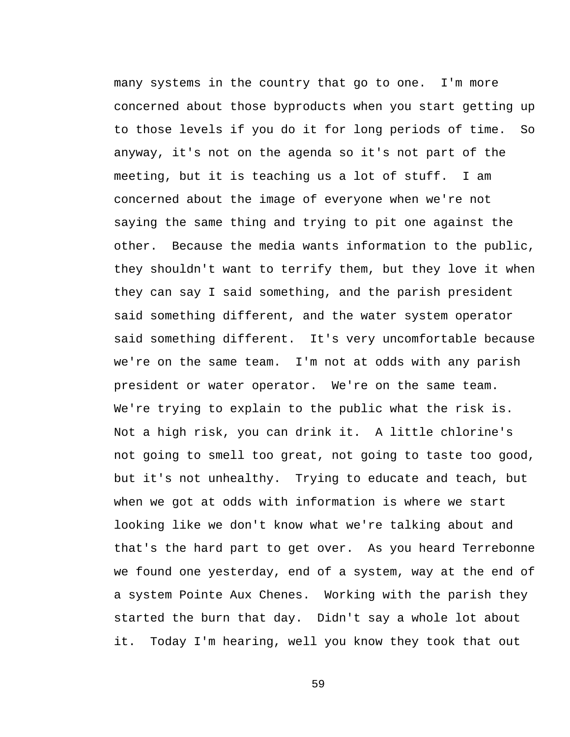many systems in the country that go to one. I'm more concerned about those byproducts when you start getting up to those levels if you do it for long periods of time. So anyway, it's not on the agenda so it's not part of the meeting, but it is teaching us a lot of stuff. I am concerned about the image of everyone when we're not saying the same thing and trying to pit one against the other. Because the media wants information to the public, they shouldn't want to terrify them, but they love it when they can say I said something, and the parish president said something different, and the water system operator said something different. It's very uncomfortable because we're on the same team. I'm not at odds with any parish president or water operator. We're on the same team. We're trying to explain to the public what the risk is. Not a high risk, you can drink it. A little chlorine's not going to smell too great, not going to taste too good, but it's not unhealthy. Trying to educate and teach, but when we got at odds with information is where we start looking like we don't know what we're talking about and that's the hard part to get over. As you heard Terrebonne we found one yesterday, end of a system, way at the end of a system Pointe Aux Chenes. Working with the parish they started the burn that day. Didn't say a whole lot about it. Today I'm hearing, well you know they took that out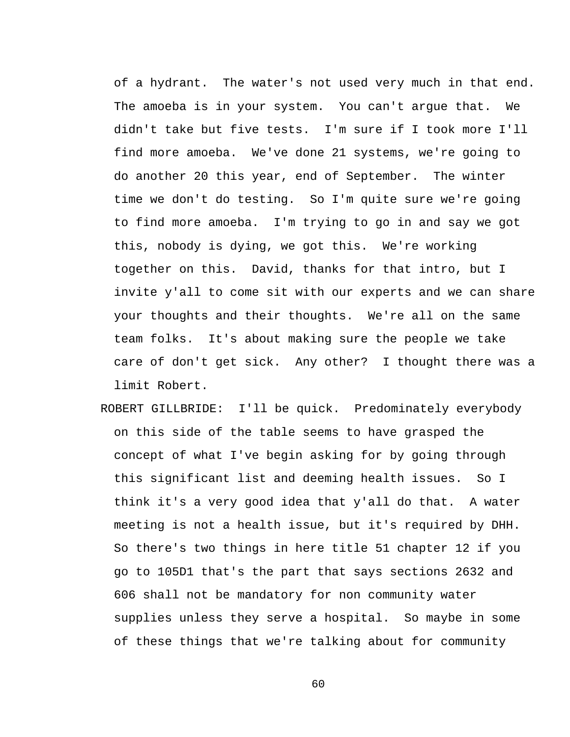of a hydrant. The water's not used very much in that end. The amoeba is in your system. You can't argue that. We didn't take but five tests. I'm sure if I took more I'll find more amoeba. We've done 21 systems, we're going to do another 20 this year, end of September. The winter time we don't do testing. So I'm quite sure we're going to find more amoeba. I'm trying to go in and say we got this, nobody is dying, we got this. We're working together on this. David, thanks for that intro, but I invite y'all to come sit with our experts and we can share your thoughts and their thoughts. We're all on the same team folks. It's about making sure the people we take care of don't get sick. Any other? I thought there was a limit Robert.

ROBERT GILLBRIDE: I'll be quick. Predominately everybody on this side of the table seems to have grasped the concept of what I've begin asking for by going through this significant list and deeming health issues. So I think it's a very good idea that y'all do that. A water meeting is not a health issue, but it's required by DHH. So there's two things in here title 51 chapter 12 if you go to 105D1 that's the part that says sections 2632 and 606 shall not be mandatory for non community water supplies unless they serve a hospital. So maybe in some of these things that we're talking about for community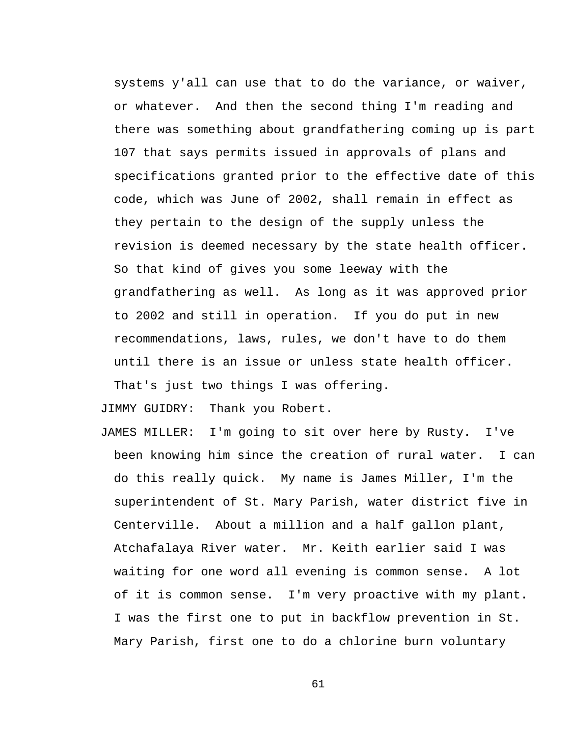systems y'all can use that to do the variance, or waiver, or whatever. And then the second thing I'm reading and there was something about grandfathering coming up is part 107 that says permits issued in approvals of plans and specifications granted prior to the effective date of this code, which was June of 2002, shall remain in effect as they pertain to the design of the supply unless the revision is deemed necessary by the state health officer. So that kind of gives you some leeway with the grandfathering as well. As long as it was approved prior to 2002 and still in operation. If you do put in new recommendations, laws, rules, we don't have to do them until there is an issue or unless state health officer. That's just two things I was offering.

JIMMY GUIDRY: Thank you Robert.

JAMES MILLER: I'm going to sit over here by Rusty. I've been knowing him since the creation of rural water. I can do this really quick. My name is James Miller, I'm the superintendent of St. Mary Parish, water district five in Centerville. About a million and a half gallon plant, Atchafalaya River water. Mr. Keith earlier said I was waiting for one word all evening is common sense. A lot of it is common sense. I'm very proactive with my plant. I was the first one to put in backflow prevention in St. Mary Parish, first one to do a chlorine burn voluntary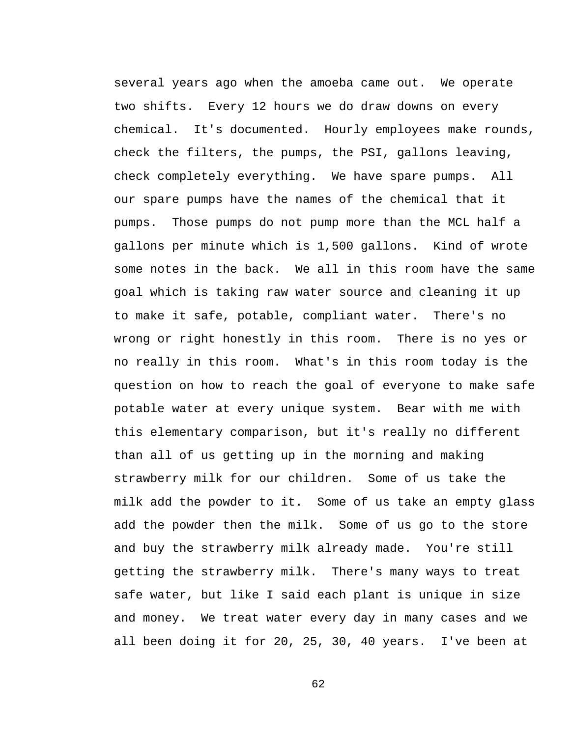several years ago when the amoeba came out. We operate two shifts. Every 12 hours we do draw downs on every chemical. It's documented. Hourly employees make rounds, check the filters, the pumps, the PSI, gallons leaving, check completely everything. We have spare pumps. All our spare pumps have the names of the chemical that it pumps. Those pumps do not pump more than the MCL half a gallons per minute which is 1,500 gallons. Kind of wrote some notes in the back. We all in this room have the same goal which is taking raw water source and cleaning it up to make it safe, potable, compliant water. There's no wrong or right honestly in this room. There is no yes or no really in this room. What's in this room today is the question on how to reach the goal of everyone to make safe potable water at every unique system. Bear with me with this elementary comparison, but it's really no different than all of us getting up in the morning and making strawberry milk for our children. Some of us take the milk add the powder to it. Some of us take an empty glass add the powder then the milk. Some of us go to the store and buy the strawberry milk already made. You're still getting the strawberry milk. There's many ways to treat safe water, but like I said each plant is unique in size and money. We treat water every day in many cases and we all been doing it for 20, 25, 30, 40 years. I've been at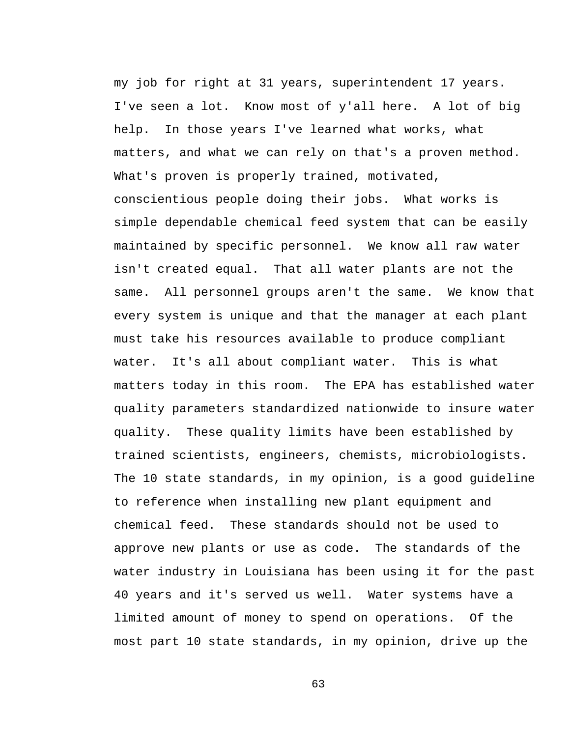my job for right at 31 years, superintendent 17 years. I've seen a lot. Know most of y'all here. A lot of big help. In those years I've learned what works, what matters, and what we can rely on that's a proven method. What's proven is properly trained, motivated, conscientious people doing their jobs. What works is simple dependable chemical feed system that can be easily maintained by specific personnel. We know all raw water isn't created equal. That all water plants are not the same. All personnel groups aren't the same. We know that every system is unique and that the manager at each plant must take his resources available to produce compliant water. It's all about compliant water. This is what matters today in this room. The EPA has established water quality parameters standardized nationwide to insure water quality. These quality limits have been established by trained scientists, engineers, chemists, microbiologists. The 10 state standards, in my opinion, is a good guideline to reference when installing new plant equipment and chemical feed. These standards should not be used to approve new plants or use as code. The standards of the water industry in Louisiana has been using it for the past 40 years and it's served us well. Water systems have a limited amount of money to spend on operations. Of the most part 10 state standards, in my opinion, drive up the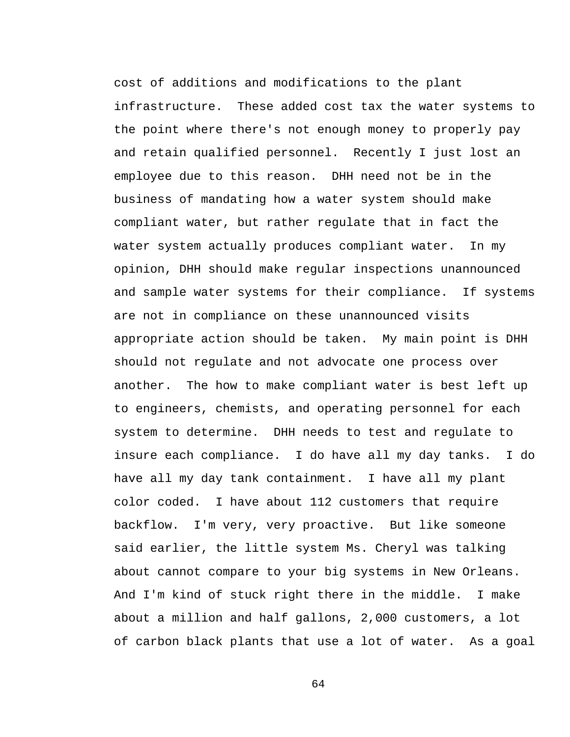cost of additions and modifications to the plant infrastructure. These added cost tax the water systems to the point where there's not enough money to properly pay and retain qualified personnel. Recently I just lost an employee due to this reason. DHH need not be in the business of mandating how a water system should make compliant water, but rather regulate that in fact the water system actually produces compliant water. In my opinion, DHH should make regular inspections unannounced and sample water systems for their compliance. If systems are not in compliance on these unannounced visits appropriate action should be taken. My main point is DHH should not regulate and not advocate one process over another. The how to make compliant water is best left up to engineers, chemists, and operating personnel for each system to determine. DHH needs to test and regulate to insure each compliance. I do have all my day tanks. I do have all my day tank containment. I have all my plant color coded. I have about 112 customers that require backflow. I'm very, very proactive. But like someone said earlier, the little system Ms. Cheryl was talking about cannot compare to your big systems in New Orleans. And I'm kind of stuck right there in the middle. I make about a million and half gallons, 2,000 customers, a lot of carbon black plants that use a lot of water. As a goal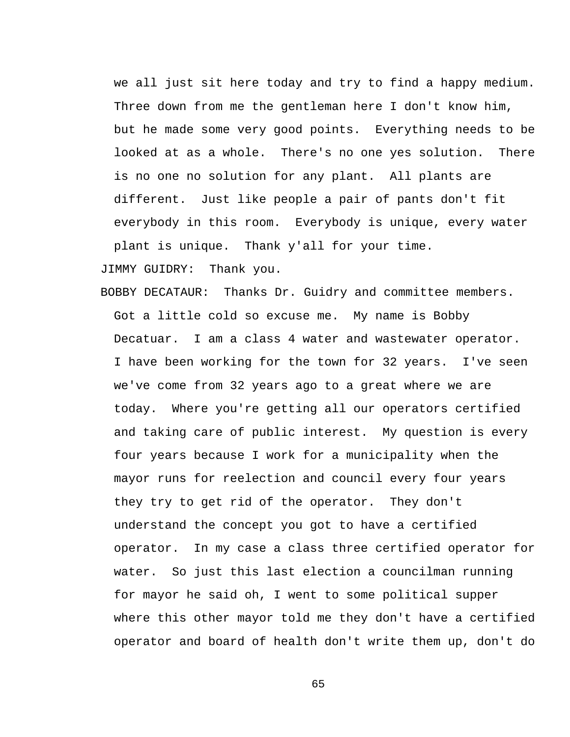we all just sit here today and try to find a happy medium. Three down from me the gentleman here I don't know him, but he made some very good points. Everything needs to be looked at as a whole. There's no one yes solution. There is no one no solution for any plant. All plants are different. Just like people a pair of pants don't fit everybody in this room. Everybody is unique, every water plant is unique. Thank y'all for your time.

JIMMY GUIDRY: Thank you.

BOBBY DECATAUR: Thanks Dr. Guidry and committee members. Got a little cold so excuse me. My name is Bobby Decatuar. I am a class 4 water and wastewater operator. I have been working for the town for 32 years. I've seen we've come from 32 years ago to a great where we are today. Where you're getting all our operators certified and taking care of public interest. My question is every four years because I work for a municipality when the mayor runs for reelection and council every four years they try to get rid of the operator. They don't understand the concept you got to have a certified operator. In my case a class three certified operator for water. So just this last election a councilman running for mayor he said oh, I went to some political supper where this other mayor told me they don't have a certified operator and board of health don't write them up, don't do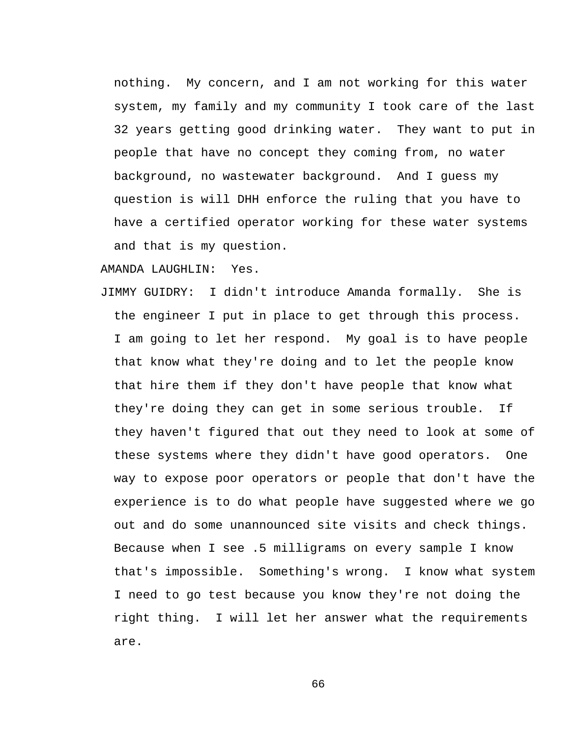nothing. My concern, and I am not working for this water system, my family and my community I took care of the last 32 years getting good drinking water. They want to put in people that have no concept they coming from, no water background, no wastewater background. And I guess my question is will DHH enforce the ruling that you have to have a certified operator working for these water systems and that is my question.

## AMANDA LAUGHLIN: Yes.

JIMMY GUIDRY: I didn't introduce Amanda formally. She is the engineer I put in place to get through this process. I am going to let her respond. My goal is to have people that know what they're doing and to let the people know that hire them if they don't have people that know what they're doing they can get in some serious trouble. If they haven't figured that out they need to look at some of these systems where they didn't have good operators. One way to expose poor operators or people that don't have the experience is to do what people have suggested where we go out and do some unannounced site visits and check things. Because when I see .5 milligrams on every sample I know that's impossible. Something's wrong. I know what system I need to go test because you know they're not doing the right thing. I will let her answer what the requirements are.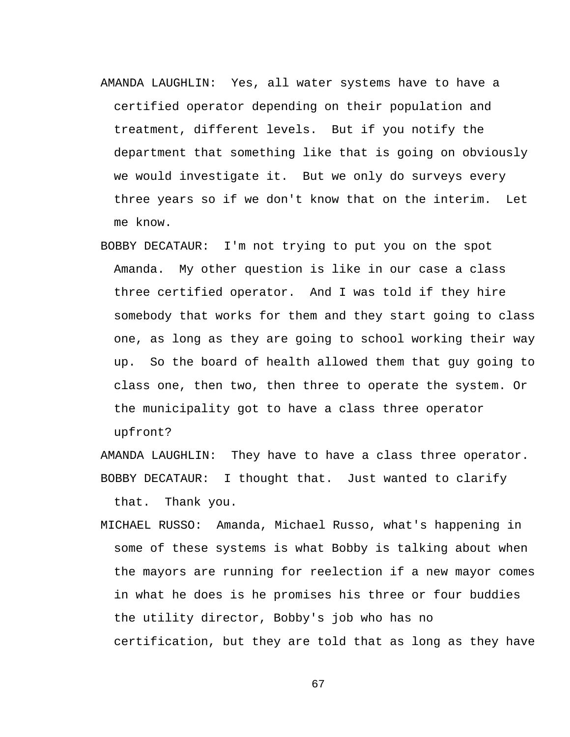- AMANDA LAUGHLIN: Yes, all water systems have to have a certified operator depending on their population and treatment, different levels. But if you notify the department that something like that is going on obviously we would investigate it. But we only do surveys every three years so if we don't know that on the interim. Let me know.
- BOBBY DECATAUR: I'm not trying to put you on the spot Amanda. My other question is like in our case a class three certified operator. And I was told if they hire somebody that works for them and they start going to class one, as long as they are going to school working their way up. So the board of health allowed them that guy going to class one, then two, then three to operate the system. Or the municipality got to have a class three operator upfront?

AMANDA LAUGHLIN: They have to have a class three operator. BOBBY DECATAUR: I thought that. Just wanted to clarify that. Thank you.

MICHAEL RUSSO: Amanda, Michael Russo, what's happening in some of these systems is what Bobby is talking about when the mayors are running for reelection if a new mayor comes in what he does is he promises his three or four buddies the utility director, Bobby's job who has no certification, but they are told that as long as they have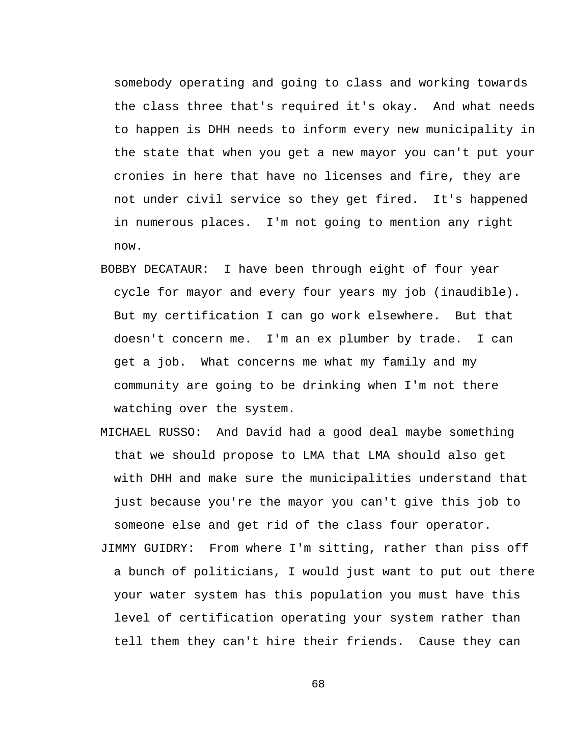somebody operating and going to class and working towards the class three that's required it's okay. And what needs to happen is DHH needs to inform every new municipality in the state that when you get a new mayor you can't put your cronies in here that have no licenses and fire, they are not under civil service so they get fired. It's happened in numerous places. I'm not going to mention any right now.

- BOBBY DECATAUR: I have been through eight of four year cycle for mayor and every four years my job (inaudible). But my certification I can go work elsewhere. But that doesn't concern me. I'm an ex plumber by trade. I can get a job. What concerns me what my family and my community are going to be drinking when I'm not there watching over the system.
- MICHAEL RUSSO: And David had a good deal maybe something that we should propose to LMA that LMA should also get with DHH and make sure the municipalities understand that just because you're the mayor you can't give this job to someone else and get rid of the class four operator.
- JIMMY GUIDRY: From where I'm sitting, rather than piss off a bunch of politicians, I would just want to put out there your water system has this population you must have this level of certification operating your system rather than tell them they can't hire their friends. Cause they can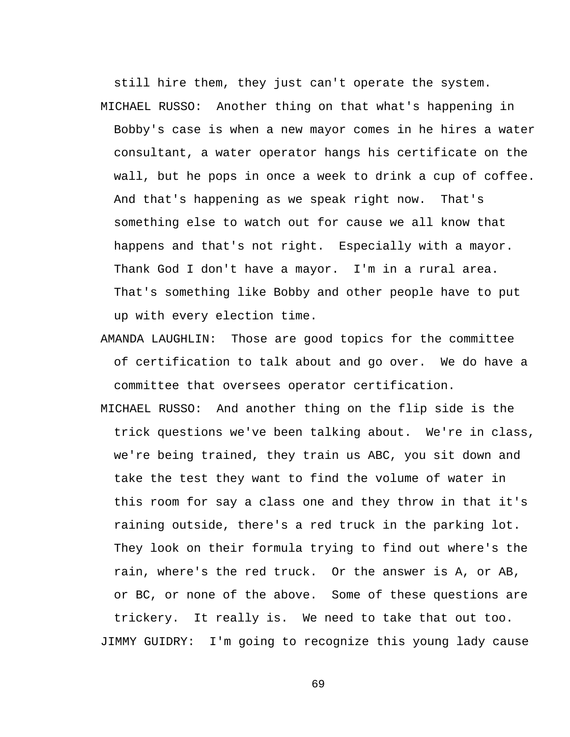still hire them, they just can't operate the system. MICHAEL RUSSO: Another thing on that what's happening in Bobby's case is when a new mayor comes in he hires a water consultant, a water operator hangs his certificate on the wall, but he pops in once a week to drink a cup of coffee. And that's happening as we speak right now. That's something else to watch out for cause we all know that happens and that's not right. Especially with a mayor. Thank God I don't have a mayor. I'm in a rural area. That's something like Bobby and other people have to put up with every election time.

- AMANDA LAUGHLIN: Those are good topics for the committee of certification to talk about and go over. We do have a committee that oversees operator certification.
- MICHAEL RUSSO: And another thing on the flip side is the trick questions we've been talking about. We're in class, we're being trained, they train us ABC, you sit down and take the test they want to find the volume of water in this room for say a class one and they throw in that it's raining outside, there's a red truck in the parking lot. They look on their formula trying to find out where's the rain, where's the red truck. Or the answer is A, or AB, or BC, or none of the above. Some of these questions are trickery. It really is. We need to take that out too. JIMMY GUIDRY: I'm going to recognize this young lady cause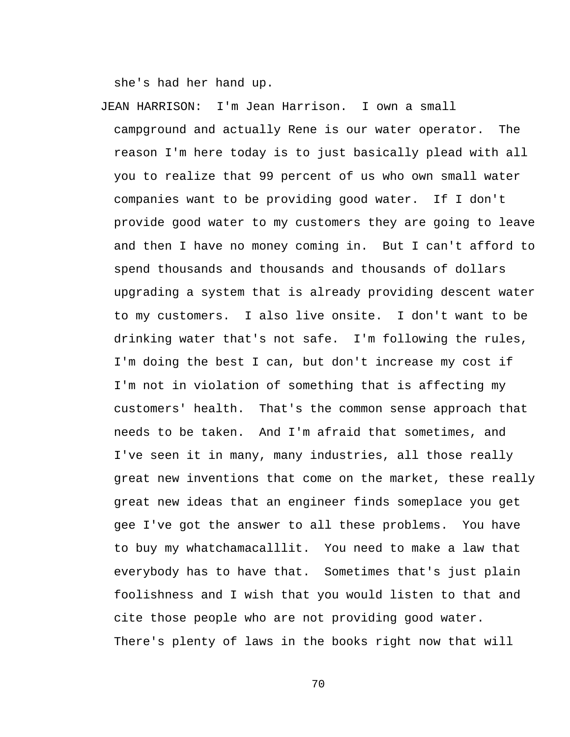she's had her hand up.

JEAN HARRISON: I'm Jean Harrison. I own a small campground and actually Rene is our water operator. The reason I'm here today is to just basically plead with all you to realize that 99 percent of us who own small water companies want to be providing good water. If I don't provide good water to my customers they are going to leave and then I have no money coming in. But I can't afford to spend thousands and thousands and thousands of dollars upgrading a system that is already providing descent water to my customers. I also live onsite. I don't want to be drinking water that's not safe. I'm following the rules, I'm doing the best I can, but don't increase my cost if I'm not in violation of something that is affecting my customers' health. That's the common sense approach that needs to be taken. And I'm afraid that sometimes, and I've seen it in many, many industries, all those really great new inventions that come on the market, these really great new ideas that an engineer finds someplace you get gee I've got the answer to all these problems. You have to buy my whatchamacalllit. You need to make a law that everybody has to have that. Sometimes that's just plain foolishness and I wish that you would listen to that and cite those people who are not providing good water. There's plenty of laws in the books right now that will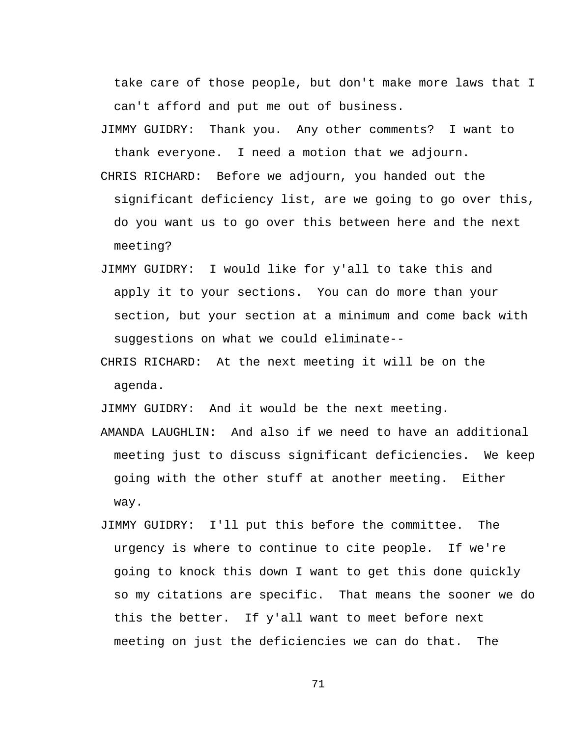take care of those people, but don't make more laws that I can't afford and put me out of business.

- JIMMY GUIDRY: Thank you. Any other comments? I want to thank everyone. I need a motion that we adjourn.
- CHRIS RICHARD: Before we adjourn, you handed out the significant deficiency list, are we going to go over this, do you want us to go over this between here and the next meeting?
- JIMMY GUIDRY: I would like for y'all to take this and apply it to your sections. You can do more than your section, but your section at a minimum and come back with suggestions on what we could eliminate--
- CHRIS RICHARD: At the next meeting it will be on the agenda.

JIMMY GUIDRY: And it would be the next meeting.

- AMANDA LAUGHLIN: And also if we need to have an additional meeting just to discuss significant deficiencies. We keep going with the other stuff at another meeting. Either way.
- JIMMY GUIDRY: I'll put this before the committee. The urgency is where to continue to cite people. If we're going to knock this down I want to get this done quickly so my citations are specific. That means the sooner we do this the better. If y'all want to meet before next meeting on just the deficiencies we can do that. The